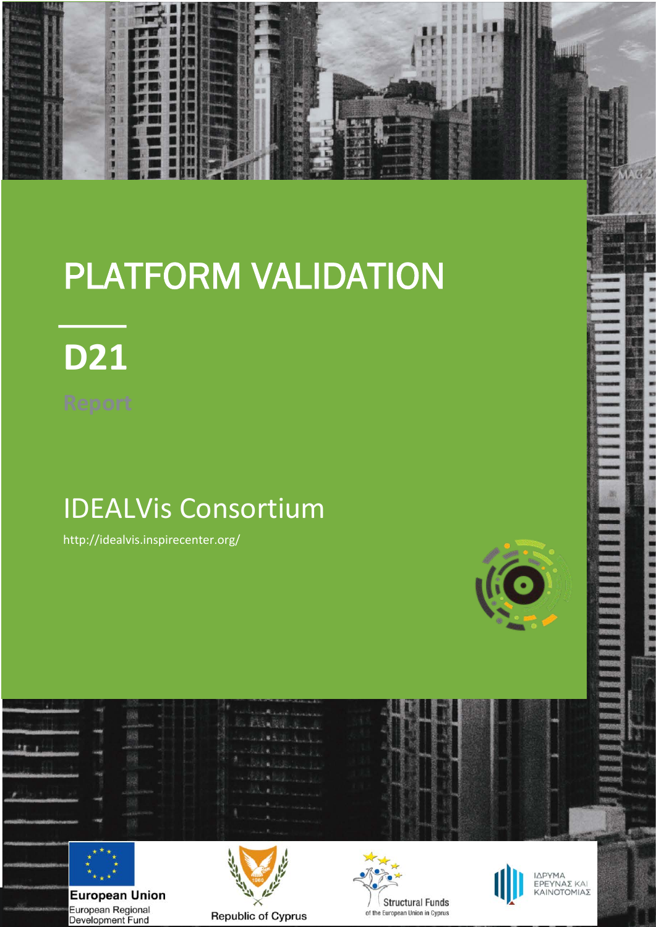

# PLATFORM VALIDATION



# IDEALVis Consortium

http://idealvis.inspirecenter.org/



× × ×

**THE REAL** 

医皮肤

 $\star$  ,  $\star$ **European Union** European Regional Development Fund



花童目



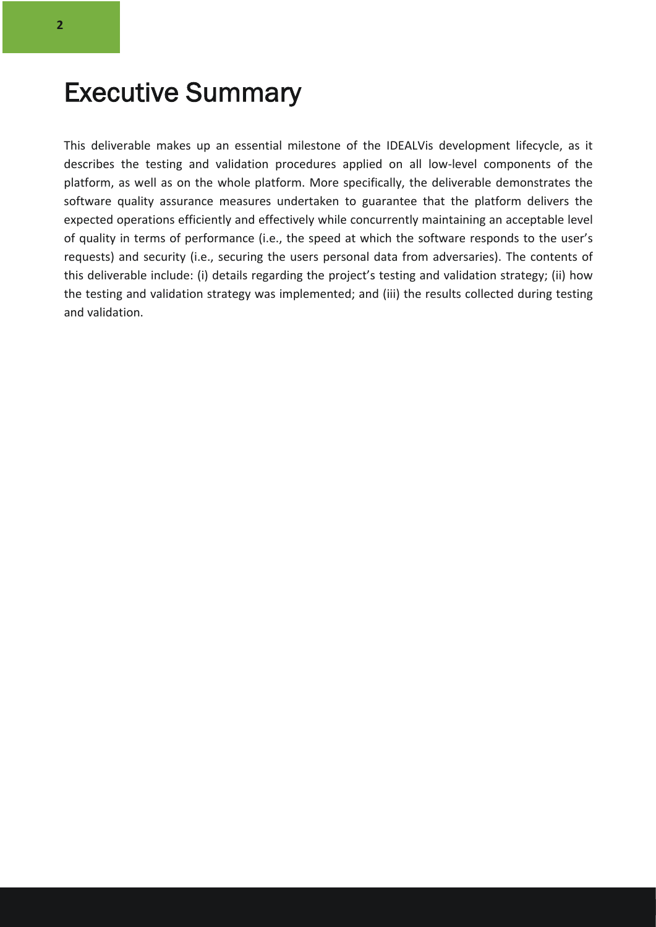### Executive Summary

This deliverable makes up an essential milestone of the IDEALVis development lifecycle, as it describes the testing and validation procedures applied on all low-level components of the platform, as well as on the whole platform. More specifically, the deliverable demonstrates the software quality assurance measures undertaken to guarantee that the platform delivers the expected operations efficiently and effectively while concurrently maintaining an acceptable level of quality in terms of performance (i.e., the speed at which the software responds to the user's requests) and security (i.e., securing the users personal data from adversaries). The contents of this deliverable include: (i) details regarding the project's testing and validation strategy; (ii) how the testing and validation strategy was implemented; and (iii) the results collected during testing and validation.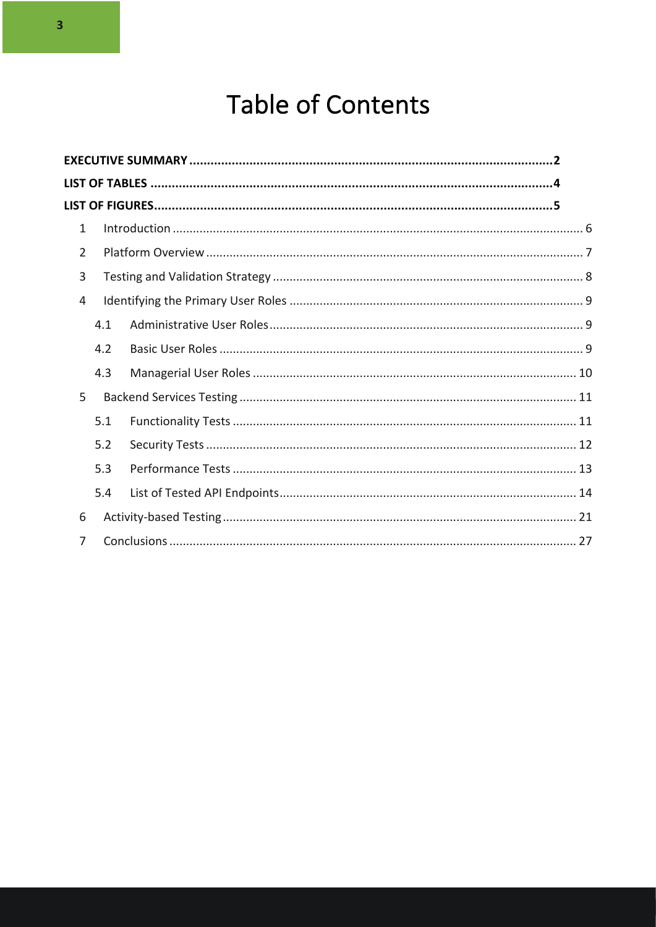## Table of Contents

| 1             |     |  |
|---------------|-----|--|
| $\mathcal{P}$ |     |  |
| 3             |     |  |
| 4             |     |  |
|               | 4.1 |  |
|               | 4.2 |  |
|               | 4.3 |  |
| 5             |     |  |
|               | 5.1 |  |
|               | 5.2 |  |
|               | 5.3 |  |
|               | 5.4 |  |
| 6             |     |  |
| 7             |     |  |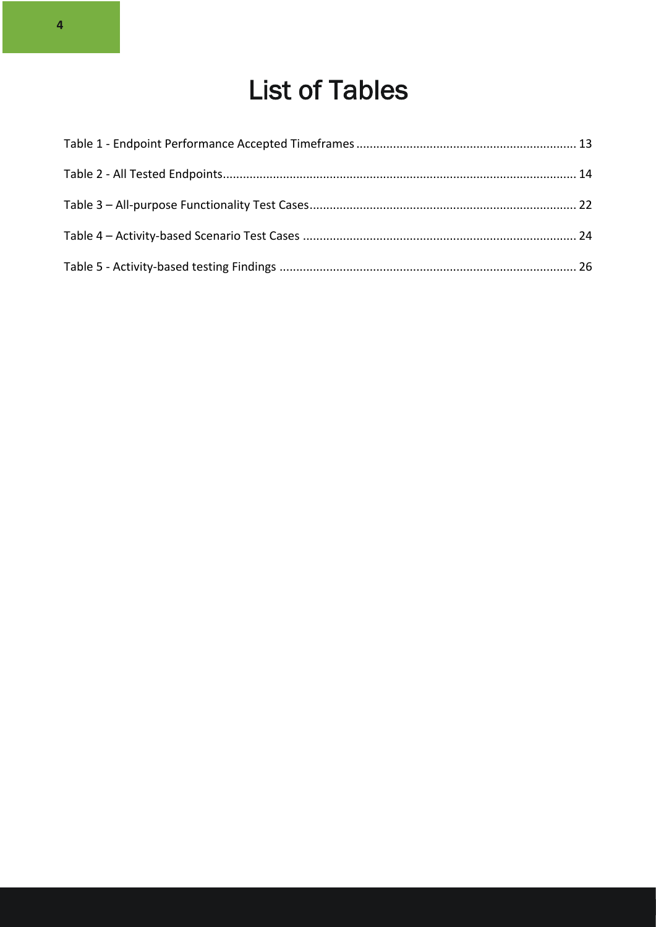# List of Tables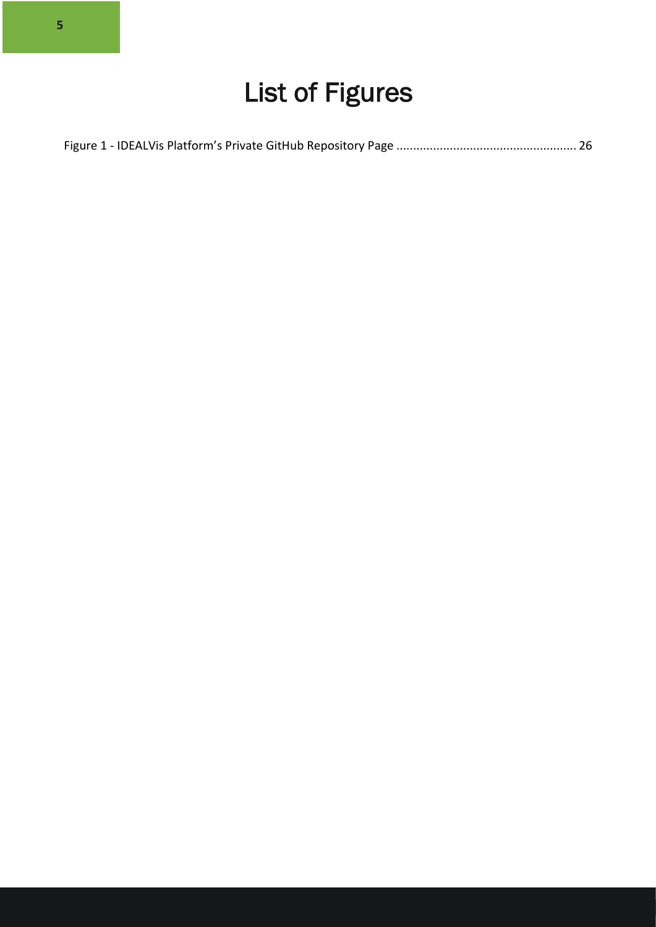|--|--|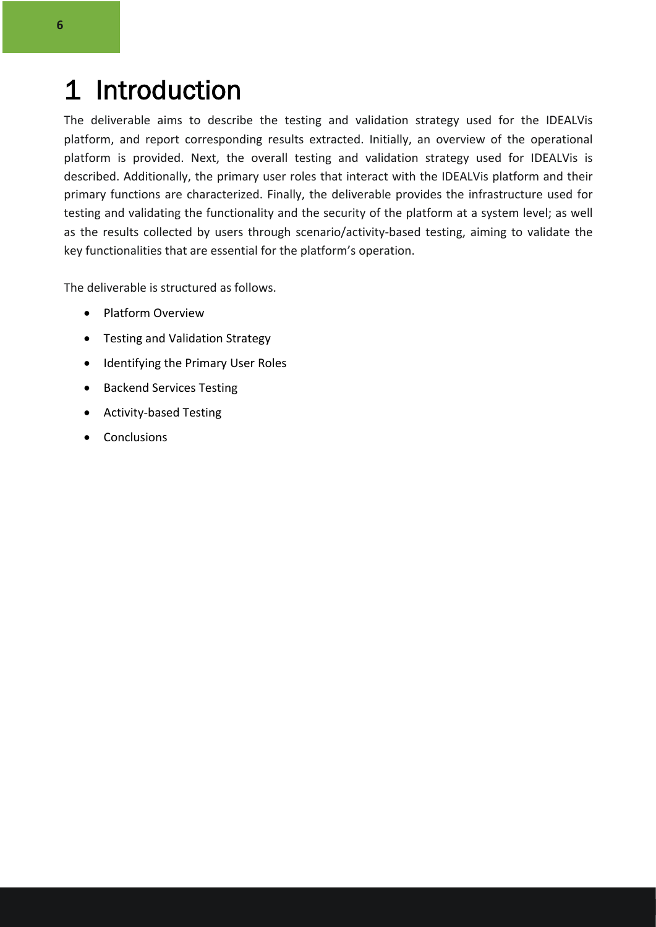### 1 Introduction

The deliverable aims to describe the testing and validation strategy used for the IDEALVis platform, and report corresponding results extracted. Initially, an overview of the operational platform is provided. Next, the overall testing and validation strategy used for IDEALVis is described. Additionally, the primary user roles that interact with the IDEALVis platform and their primary functions are characterized. Finally, the deliverable provides the infrastructure used for testing and validating the functionality and the security of the platform at a system level; as well as the results collected by users through scenario/activity-based testing, aiming to validate the key functionalities that are essential for the platform's operation.

The deliverable is structured as follows.

- Platform Overview
- Testing and Validation Strategy
- Identifying the Primary User Roles
- Backend Services Testing
- Activity-based Testing
- **Conclusions**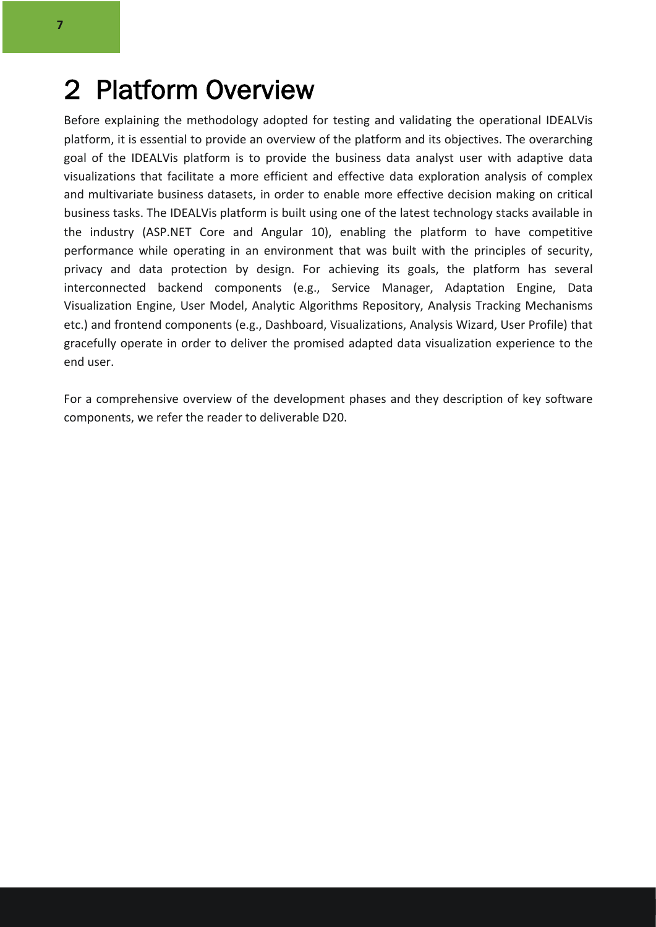### 2 Platform Overview

Before explaining the methodology adopted for testing and validating the operational IDEALVis platform, it is essential to provide an overview of the platform and its objectives. The overarching goal of the IDEALVis platform is to provide the business data analyst user with adaptive data visualizations that facilitate a more efficient and effective data exploration analysis of complex and multivariate business datasets, in order to enable more effective decision making on critical business tasks. The IDEALVis platform is built using one of the latest technology stacks available in the industry (ASP.NET Core and Angular 10), enabling the platform to have competitive performance while operating in an environment that was built with the principles of security, privacy and data protection by design. For achieving its goals, the platform has several interconnected backend components (e.g., Service Manager, Adaptation Engine, Data Visualization Engine, User Model, Analytic Algorithms Repository, Analysis Tracking Mechanisms etc.) and frontend components (e.g., Dashboard, Visualizations, Analysis Wizard, User Profile) that gracefully operate in order to deliver the promised adapted data visualization experience to the end user.

For a comprehensive overview of the development phases and they description of key software components, we refer the reader to deliverable D20.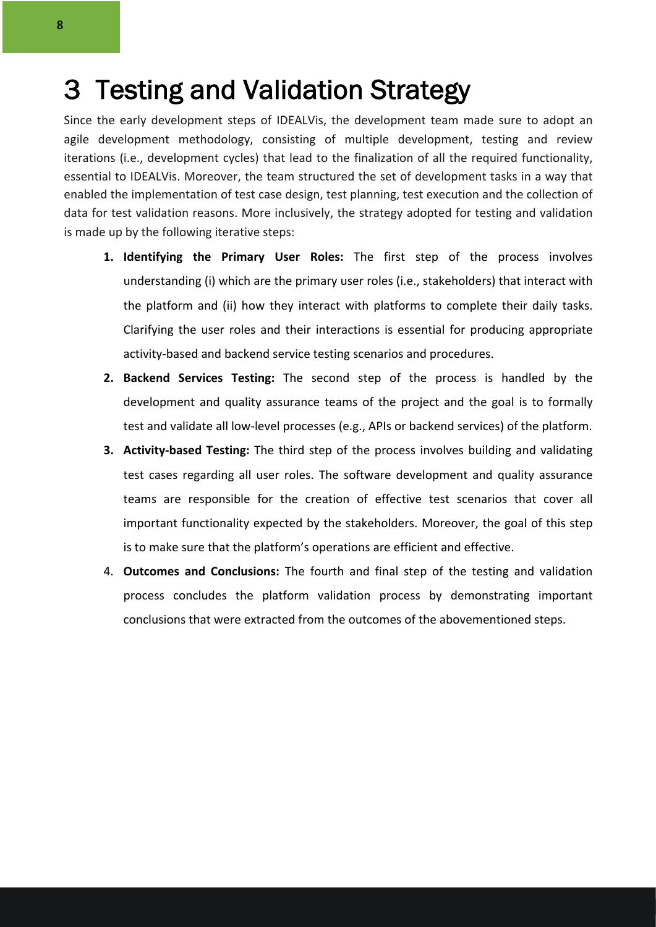### 3 Testing and Validation Strategy

Since the early development steps of IDEALVis, the development team made sure to adopt an agile development methodology, consisting of multiple development, testing and review iterations (i.e., development cycles) that lead to the finalization of all the required functionality, essential to IDEALVis. Moreover, the team structured the set of development tasks in a way that enabled the implementation of test case design, test planning, test execution and the collection of data for test validation reasons. More inclusively, the strategy adopted for testing and validation is made up by the following iterative steps:

- **1. Identifying the Primary User Roles:** The first step of the process involves understanding (i) which are the primary user roles (i.e., stakeholders) that interact with the platform and (ii) how they interact with platforms to complete their daily tasks. Clarifying the user roles and their interactions is essential for producing appropriate activity-based and backend service testing scenarios and procedures.
- **2. Backend Services Testing:** The second step of the process is handled by the development and quality assurance teams of the project and the goal is to formally test and validate all low-level processes (e.g., APIs or backend services) of the platform.
- **3. Activity-based Testing:** The third step of the process involves building and validating test cases regarding all user roles. The software development and quality assurance teams are responsible for the creation of effective test scenarios that cover all important functionality expected by the stakeholders. Moreover, the goal of this step is to make sure that the platform's operations are efficient and effective.
- 4. **Outcomes and Conclusions:** The fourth and final step of the testing and validation process concludes the platform validation process by demonstrating important conclusions that were extracted from the outcomes of the abovementioned steps.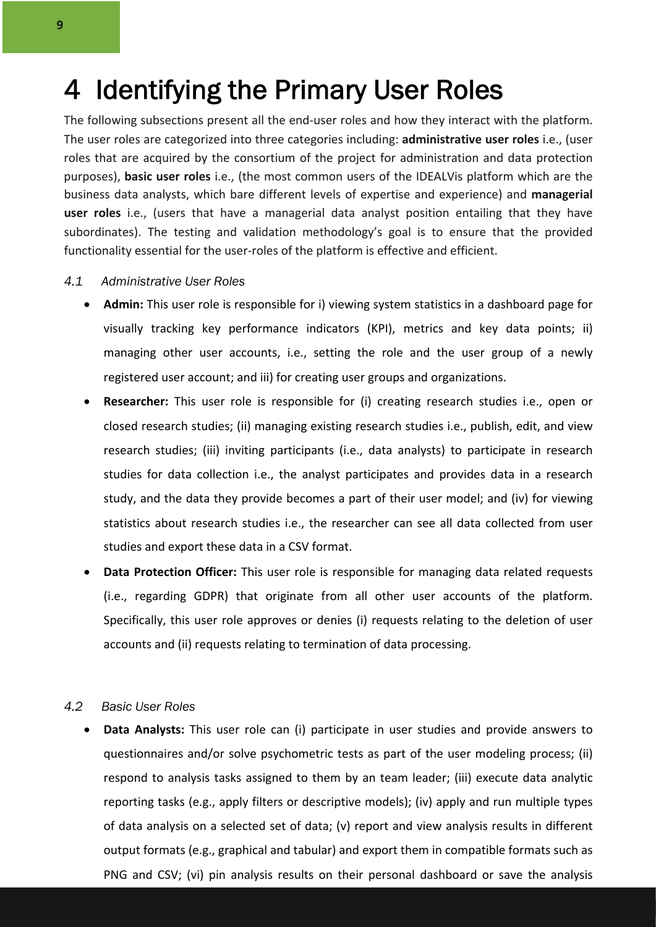### 4 Identifying the Primary User Roles

The following subsections present all the end-user roles and how they interact with the platform. The user roles are categorized into three categories including: **administrative user roles** i.e., (user roles that are acquired by the consortium of the project for administration and data protection purposes), **basic user roles** i.e., (the most common users of the IDEALVis platform which are the business data analysts, which bare different levels of expertise and experience) and **managerial user roles** i.e., (users that have a managerial data analyst position entailing that they have subordinates). The testing and validation methodology's goal is to ensure that the provided functionality essential for the user-roles of the platform is effective and efficient.

#### *4.1 Administrative User Roles*

- **Admin:** This user role is responsible for i) viewing system statistics in a dashboard page for visually tracking key performance indicators (KPI), metrics and key data points; ii) managing other user accounts, i.e., setting the role and the user group of a newly registered user account; and iii) for creating user groups and organizations.
- **Researcher:** This user role is responsible for (i) creating research studies i.e., open or closed research studies; (ii) managing existing research studies i.e., publish, edit, and view research studies; (iii) inviting participants (i.e., data analysts) to participate in research studies for data collection i.e., the analyst participates and provides data in a research study, and the data they provide becomes a part of their user model; and (iv) for viewing statistics about research studies i.e., the researcher can see all data collected from user studies and export these data in a CSV format.
- **Data Protection Officer:** This user role is responsible for managing data related requests (i.e., regarding GDPR) that originate from all other user accounts of the platform. Specifically, this user role approves or denies (i) requests relating to the deletion of user accounts and (ii) requests relating to termination of data processing.

#### *4.2 Basic User Roles*

• **Data Analysts:** This user role can (i) participate in user studies and provide answers to questionnaires and/or solve psychometric tests as part of the user modeling process; (ii) respond to analysis tasks assigned to them by an team leader; (iii) execute data analytic reporting tasks (e.g., apply filters or descriptive models); (iv) apply and run multiple types of data analysis on a selected set of data; (v) report and view analysis results in different output formats (e.g., graphical and tabular) and export them in compatible formats such as PNG and CSV; (vi) pin analysis results on their personal dashboard or save the analysis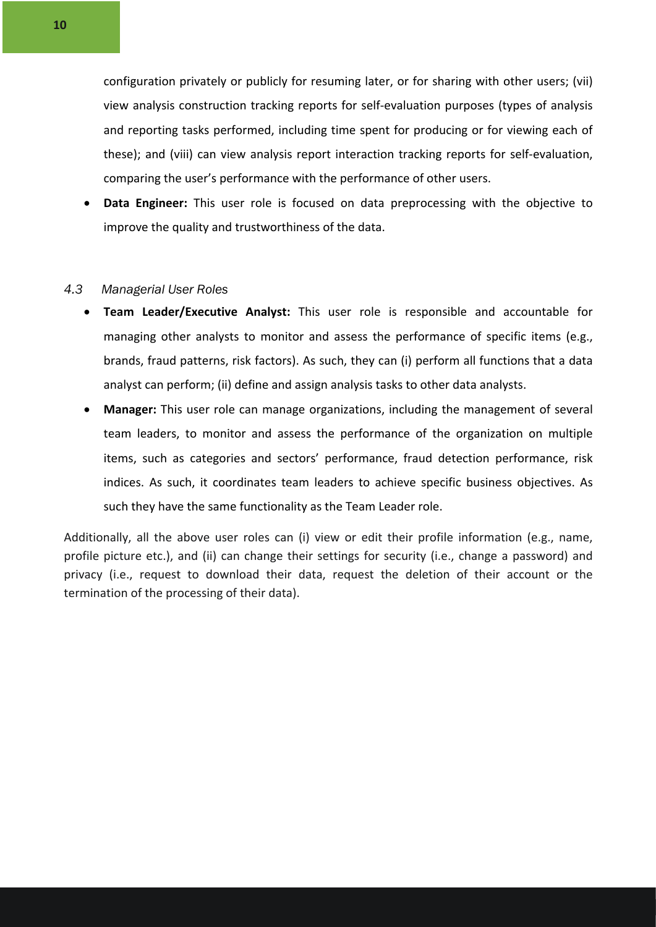configuration privately or publicly for resuming later, or for sharing with other users; (vii) view analysis construction tracking reports for self-evaluation purposes (types of analysis and reporting tasks performed, including time spent for producing or for viewing each of these); and (viii) can view analysis report interaction tracking reports for self-evaluation, comparing the user's performance with the performance of other users.

• **Data Engineer:** This user role is focused on data preprocessing with the objective to improve the quality and trustworthiness of the data.

#### *4.3 Managerial User Roles*

- **Team Leader/Executive Analyst:** This user role is responsible and accountable for managing other analysts to monitor and assess the performance of specific items (e.g., brands, fraud patterns, risk factors). As such, they can (i) perform all functions that a data analyst can perform; (ii) define and assign analysis tasks to other data analysts.
- **Manager:** This user role can manage organizations, including the management of several team leaders, to monitor and assess the performance of the organization on multiple items, such as categories and sectors' performance, fraud detection performance, risk indices. As such, it coordinates team leaders to achieve specific business objectives. As such they have the same functionality as the Team Leader role.

Additionally, all the above user roles can (i) view or edit their profile information (e.g., name, profile picture etc.), and (ii) can change their settings for security (i.e., change a password) and privacy (i.e., request to download their data, request the deletion of their account or the termination of the processing of their data).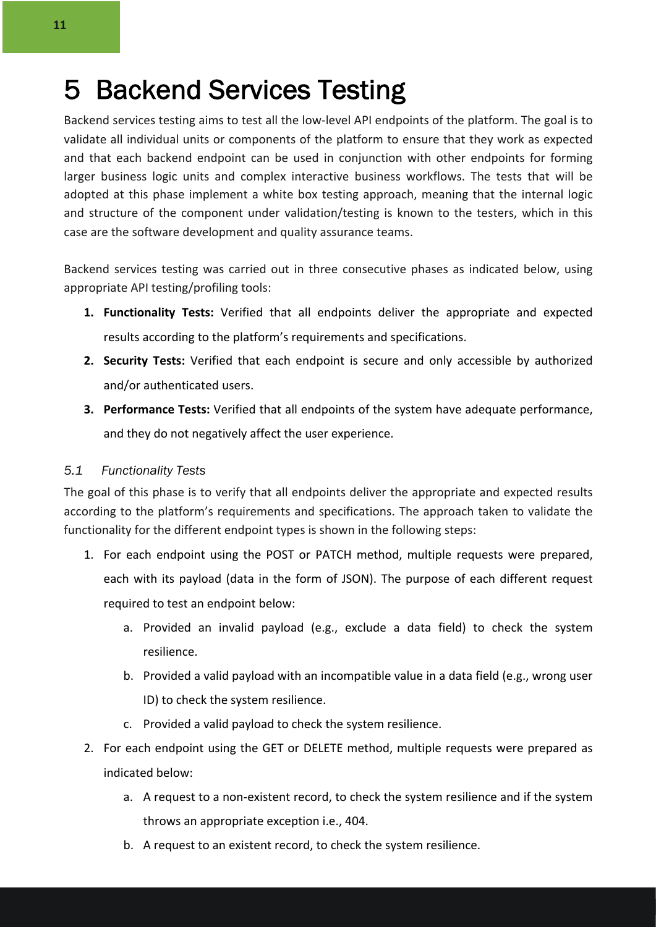### 5 Backend Services Testing

Backend services testing aims to test all the low-level API endpoints of the platform. The goal is to validate all individual units or components of the platform to ensure that they work as expected and that each backend endpoint can be used in conjunction with other endpoints for forming larger business logic units and complex interactive business workflows. The tests that will be adopted at this phase implement a white box testing approach, meaning that the internal logic and structure of the component under validation/testing is known to the testers, which in this case are the software development and quality assurance teams.

Backend services testing was carried out in three consecutive phases as indicated below, using appropriate API testing/profiling tools:

- **1. Functionality Tests:** Verified that all endpoints deliver the appropriate and expected results according to the platform's requirements and specifications.
- **2. Security Tests:** Verified that each endpoint is secure and only accessible by authorized and/or authenticated users.
- **3. Performance Tests:** Verified that all endpoints of the system have adequate performance, and they do not negatively affect the user experience.

#### *5.1 Functionality Tests*

The goal of this phase is to verify that all endpoints deliver the appropriate and expected results according to the platform's requirements and specifications. The approach taken to validate the functionality for the different endpoint types is shown in the following steps:

- 1. For each endpoint using the POST or PATCH method, multiple requests were prepared, each with its payload (data in the form of JSON). The purpose of each different request required to test an endpoint below:
	- a. Provided an invalid payload (e.g., exclude a data field) to check the system resilience.
	- b. Provided a valid payload with an incompatible value in a data field (e.g., wrong user ID) to check the system resilience.
	- c. Provided a valid payload to check the system resilience.
- 2. For each endpoint using the GET or DELETE method, multiple requests were prepared as indicated below:
	- a. A request to a non-existent record, to check the system resilience and if the system throws an appropriate exception i.e., 404.
	- b. A request to an existent record, to check the system resilience.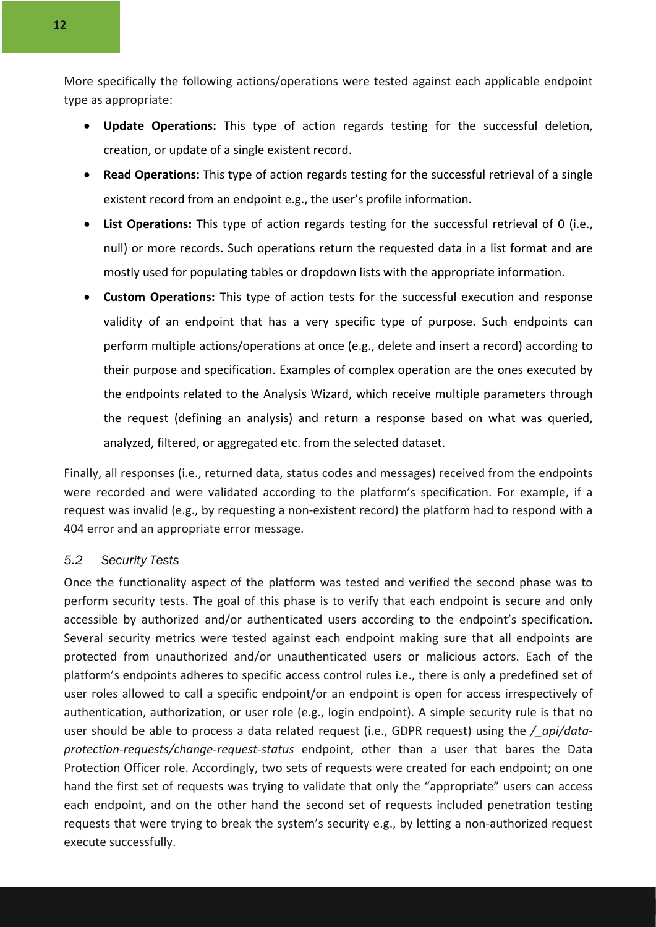More specifically the following actions/operations were tested against each applicable endpoint type as appropriate:

- **Update Operations:** This type of action regards testing for the successful deletion, creation, or update of a single existent record.
- **Read Operations:** This type of action regards testing for the successful retrieval of a single existent record from an endpoint e.g., the user's profile information.
- List Operations: This type of action regards testing for the successful retrieval of 0 (i.e., null) or more records. Such operations return the requested data in a list format and are mostly used for populating tables or dropdown lists with the appropriate information.
- **Custom Operations:** This type of action tests for the successful execution and response validity of an endpoint that has a very specific type of purpose. Such endpoints can perform multiple actions/operations at once (e.g., delete and insert a record) according to their purpose and specification. Examples of complex operation are the ones executed by the endpoints related to the Analysis Wizard, which receive multiple parameters through the request (defining an analysis) and return a response based on what was queried, analyzed, filtered, or aggregated etc. from the selected dataset.

Finally, all responses (i.e., returned data, status codes and messages) received from the endpoints were recorded and were validated according to the platform's specification. For example, if a request was invalid (e.g., by requesting a non-existent record) the platform had to respond with a 404 error and an appropriate error message.

#### *5.2 Security Tests*

Once the functionality aspect of the platform was tested and verified the second phase was to perform security tests. The goal of this phase is to verify that each endpoint is secure and only accessible by authorized and/or authenticated users according to the endpoint's specification. Several security metrics were tested against each endpoint making sure that all endpoints are protected from unauthorized and/or unauthenticated users or malicious actors. Each of the platform's endpoints adheres to specific access control rules i.e., there is only a predefined set of user roles allowed to call a specific endpoint/or an endpoint is open for access irrespectively of authentication, authorization, or user role (e.g., login endpoint). A simple security rule is that no user should be able to process a data related request (i.e., GDPR request) using the */\_api/dataprotection-requests/change-request-status* endpoint, other than a user that bares the Data Protection Officer role. Accordingly, two sets of requests were created for each endpoint; on one hand the first set of requests was trying to validate that only the "appropriate" users can access each endpoint, and on the other hand the second set of requests included penetration testing requests that were trying to break the system's security e.g., by letting a non-authorized request execute successfully.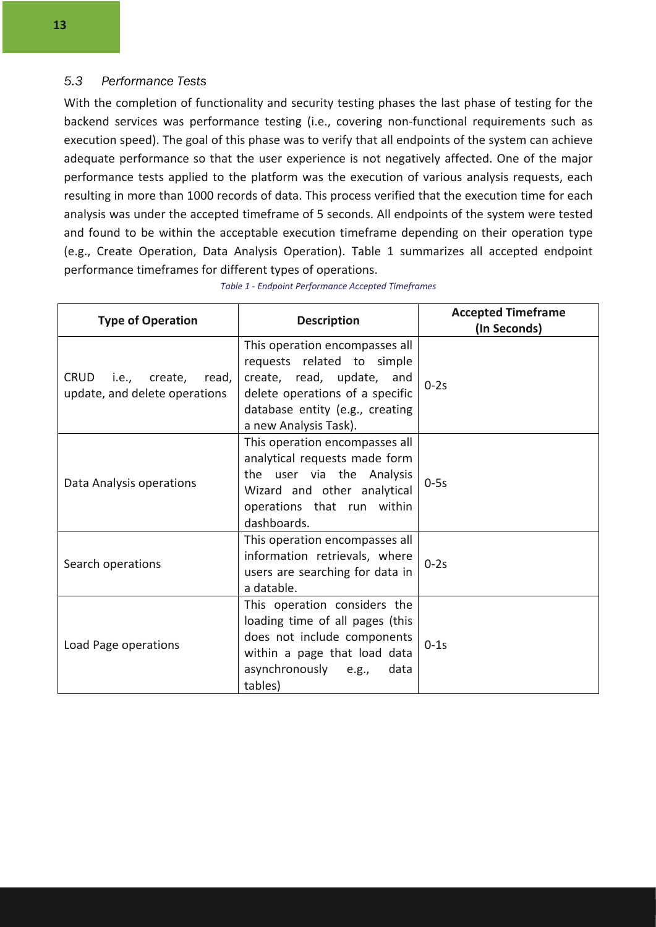#### *5.3 Performance Tests*

With the completion of functionality and security testing phases the last phase of testing for the backend services was performance testing (i.e., covering non-functional requirements such as execution speed). The goal of this phase was to verify that all endpoints of the system can achieve adequate performance so that the user experience is not negatively affected. One of the major performance tests applied to the platform was the execution of various analysis requests, each resulting in more than 1000 records of data. This process verified that the execution time for each analysis was under the accepted timeframe of 5 seconds. All endpoints of the system were tested and found to be within the acceptable execution timeframe depending on their operation type (e.g., Create Operation, Data Analysis Operation). Table 1 summarizes all accepted endpoint performance timeframes for different types of operations.

| <b>Type of Operation</b>                                  | <b>Description</b>                                                                                                                                                                       | <b>Accepted Timeframe</b><br>(In Seconds) |
|-----------------------------------------------------------|------------------------------------------------------------------------------------------------------------------------------------------------------------------------------------------|-------------------------------------------|
| CRUD i.e., create, read,<br>update, and delete operations | This operation encompasses all<br>requests related to simple<br>create, read, update, and<br>delete operations of a specific<br>database entity (e.g., creating<br>a new Analysis Task). | $0-2s$                                    |
| Data Analysis operations                                  | This operation encompasses all<br>analytical requests made form<br>the user via the Analysis<br>Wizard and other analytical<br>operations that run within<br>dashboards.                 | $0-5s$                                    |
| Search operations                                         | This operation encompasses all<br>information retrievals, where<br>users are searching for data in<br>a datable.                                                                         | $0-2s$                                    |
| Load Page operations                                      | This operation considers the<br>loading time of all pages (this<br>does not include components<br>within a page that load data<br>asynchronously e.g.,<br>data<br>tables)                | $0-1s$                                    |

*Table 1 - Endpoint Performance Accepted Timeframes*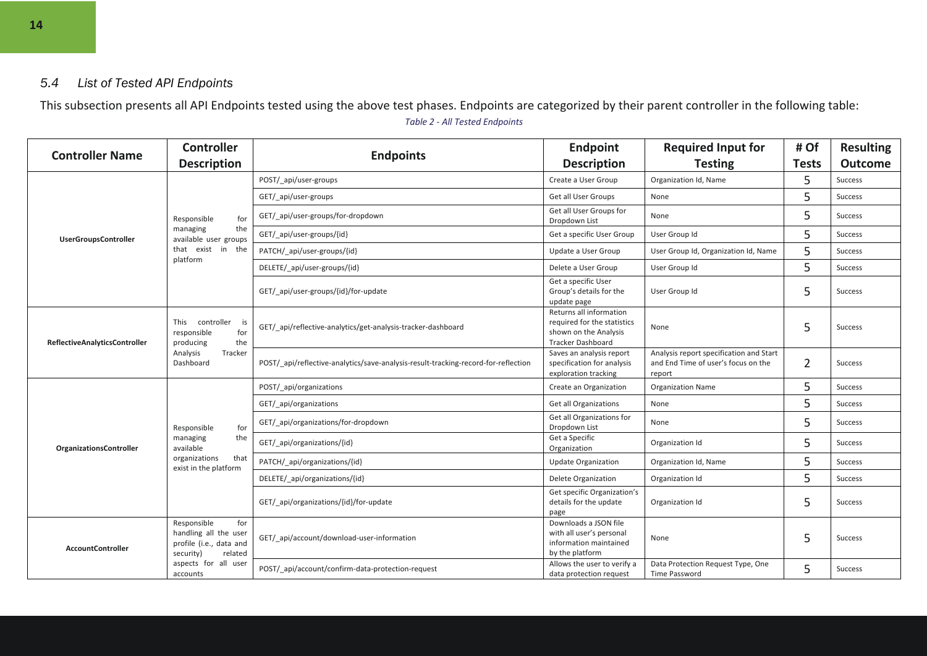#### *5.4 List of Tested API Endpoints*

This subsection presents all API Endpoints tested using the above test phases. Endpoints are categorized by their parent controller in the following table: *Table 2 - All Tested Endpoints*

| <b>Controller Name</b>               | <b>Controller</b>                                                                                   |                                                                                    | <b>Endpoint</b>                                                                                             | <b>Required Input for</b>                                                                | # Of           | <b>Resulting</b> |
|--------------------------------------|-----------------------------------------------------------------------------------------------------|------------------------------------------------------------------------------------|-------------------------------------------------------------------------------------------------------------|------------------------------------------------------------------------------------------|----------------|------------------|
|                                      | <b>Description</b>                                                                                  | <b>Endpoints</b>                                                                   | <b>Description</b>                                                                                          | <b>Testing</b>                                                                           | <b>Tests</b>   | <b>Outcome</b>   |
|                                      |                                                                                                     | POST/_api/user-groups                                                              | Create a User Group                                                                                         | Organization Id, Name                                                                    | 5              | Success          |
|                                      |                                                                                                     | GET/ api/user-groups                                                               | Get all User Groups                                                                                         | None                                                                                     | 5              | <b>Success</b>   |
|                                      | Responsible<br>for                                                                                  | GET/_api/user-groups/for-dropdown                                                  | Get all User Groups for<br>Dropdown List                                                                    | None                                                                                     | 5              | Success          |
| <b>UserGroupsController</b>          | the<br>managing<br>available user groups                                                            | GET/_api/user-groups/{id}                                                          | Get a specific User Group                                                                                   | User Group Id                                                                            | 5              | Success          |
|                                      | that exist in the<br>platform                                                                       | PATCH/_api/user-groups/{id}                                                        | Update a User Group                                                                                         | User Group Id, Organization Id, Name                                                     | 5              | Success          |
|                                      |                                                                                                     | DELETE/ api/user-groups/{id}                                                       | Delete a User Group                                                                                         | User Group Id                                                                            | 5              | Success          |
|                                      |                                                                                                     | GET/ api/user-groups/{id}/for-update                                               | Get a specific User<br>Group's details for the<br>update page                                               | User Group Id                                                                            | 5              | Success          |
| <b>ReflectiveAnalyticsController</b> | This controller<br>is<br>responsible<br>for<br>the<br>producing<br>Analysis<br>Tracker<br>Dashboard | GET/ api/reflective-analytics/get-analysis-tracker-dashboard                       | Returns all information<br>required for the statistics<br>shown on the Analysis<br><b>Tracker Dashboard</b> | None                                                                                     | 5              | <b>Success</b>   |
|                                      |                                                                                                     | POST/ api/reflective-analytics/save-analysis-result-tracking-record-for-reflection | Saves an analysis report<br>specification for analysis<br>exploration tracking                              | Analysis report specification and Start<br>and End Time of user's focus on the<br>report | $\overline{2}$ | Success          |
|                                      |                                                                                                     | POST/_api/organizations                                                            | Create an Organization                                                                                      | <b>Organization Name</b>                                                                 | 5              | <b>Success</b>   |
|                                      |                                                                                                     | GET/ api/organizations                                                             | <b>Get all Organizations</b>                                                                                | None                                                                                     | 5              | <b>Success</b>   |
|                                      | for<br>Responsible                                                                                  | GET/ api/organizations/for-dropdown                                                | Get all Organizations for<br>Dropdown List                                                                  | None                                                                                     | 5              | Success          |
| <b>OrganizationsController</b>       | the<br>managing<br>available                                                                        | GET/ api/organizations/{id}                                                        | Get a Specific<br>Organization                                                                              | Organization Id                                                                          | 5              | <b>Success</b>   |
|                                      | organizations<br>that<br>exist in the platform                                                      | PATCH/ api/organizations/{id}                                                      | <b>Update Organization</b>                                                                                  | Organization Id, Name                                                                    | 5              | <b>Success</b>   |
|                                      |                                                                                                     | DELETE/ api/organizations/{id}                                                     | <b>Delete Organization</b>                                                                                  | Organization Id                                                                          | 5              | <b>Success</b>   |
|                                      |                                                                                                     | GET/ api/organizations/{id}/for-update                                             | Get specific Organization's<br>details for the update<br>page                                               | Organization Id                                                                          | 5              | Success          |
| <b>AccountController</b>             | Responsible<br>for<br>handling all the user<br>profile (i.e., data and<br>security)<br>related      | GET/ api/account/download-user-information                                         | Downloads a JSON file<br>with all user's personal<br>information maintained<br>by the platform              | None                                                                                     | 5              | Success          |
|                                      | aspects for all user<br>accounts                                                                    | POST/ api/account/confirm-data-protection-request                                  | Allows the user to verify a<br>data protection request                                                      | Data Protection Request Type, One<br>Time Password                                       | 5              | <b>Success</b>   |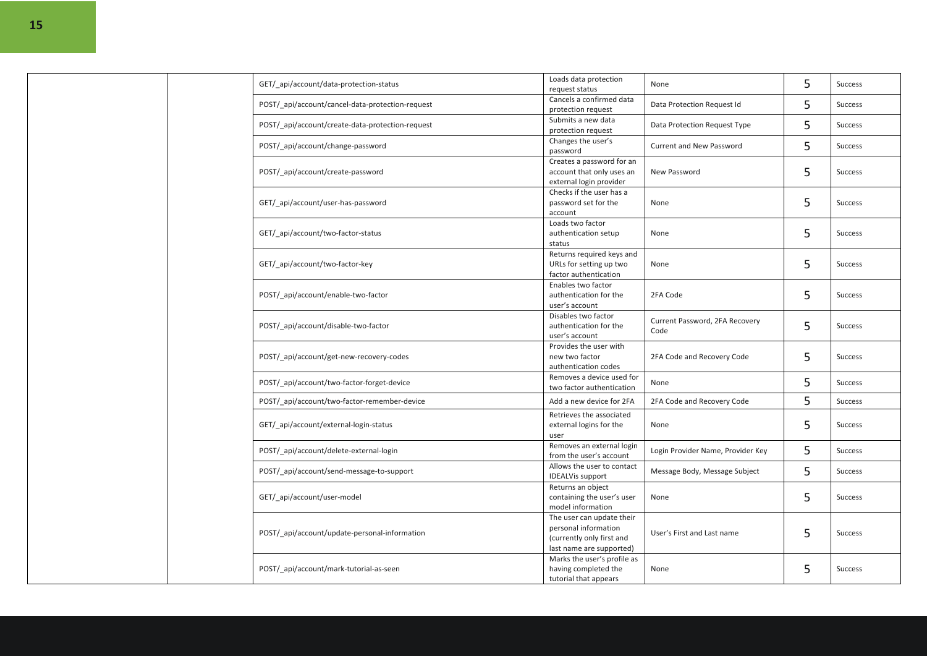|  | GET/ api/account/data-protection-status          | Loads data protection<br>request status                                                                    | None                                   | 5 | <b>Success</b> |
|--|--------------------------------------------------|------------------------------------------------------------------------------------------------------------|----------------------------------------|---|----------------|
|  | POST/ api/account/cancel-data-protection-request | Cancels a confirmed data<br>protection request                                                             | Data Protection Request Id             | 5 | <b>Success</b> |
|  | POST/ api/account/create-data-protection-request | Submits a new data<br>protection request                                                                   | Data Protection Request Type           | 5 | <b>Success</b> |
|  | POST/_api/account/change-password                | Changes the user's<br>password                                                                             | <b>Current and New Password</b>        | 5 | <b>Success</b> |
|  | POST/ api/account/create-password                | Creates a password for an<br>account that only uses an<br>external login provider                          | New Password                           | 5 | <b>Success</b> |
|  | GET/ api/account/user-has-password               | Checks if the user has a<br>password set for the<br>account                                                | None                                   | 5 | <b>Success</b> |
|  | GET/ api/account/two-factor-status               | Loads two factor<br>authentication setup<br>status                                                         | None                                   | 5 | Success        |
|  | GET/ api/account/two-factor-key                  | Returns required keys and<br>URLs for setting up two<br>factor authentication                              | None                                   | 5 | Success        |
|  | POST/_api/account/enable-two-factor              | Enables two factor<br>authentication for the<br>user's account                                             | 2FA Code                               | 5 | <b>Success</b> |
|  | POST/_api/account/disable-two-factor             | Disables two factor<br>authentication for the<br>user's account                                            | Current Password, 2FA Recovery<br>Code | 5 | <b>Success</b> |
|  | POST/_api/account/get-new-recovery-codes         | Provides the user with<br>new two factor<br>authentication codes                                           | 2FA Code and Recovery Code             | 5 | Success        |
|  | POST/ api/account/two-factor-forget-device       | Removes a device used for<br>two factor authentication                                                     | None                                   | 5 | Success        |
|  | POST/_api/account/two-factor-remember-device     | Add a new device for 2FA                                                                                   | 2FA Code and Recovery Code             | 5 | Success        |
|  | GET/_api/account/external-login-status           | Retrieves the associated<br>external logins for the<br>user                                                | None                                   | 5 | <b>Success</b> |
|  | POST/ api/account/delete-external-login          | Removes an external login<br>from the user's account                                                       | Login Provider Name, Provider Key      | 5 | <b>Success</b> |
|  | POST/ api/account/send-message-to-support        | Allows the user to contact<br><b>IDEALVis support</b>                                                      | Message Body, Message Subject          | 5 | Success        |
|  | GET/_api/account/user-model                      | Returns an object<br>containing the user's user<br>model information                                       | None                                   | 5 | Success        |
|  | POST/ api/account/update-personal-information    | The user can update their<br>personal information<br>(currently only first and<br>last name are supported) | User's First and Last name             | 5 | <b>Success</b> |
|  | POST/ api/account/mark-tutorial-as-seen          | Marks the user's profile as<br>having completed the<br>tutorial that appears                               | None                                   | 5 | <b>Success</b> |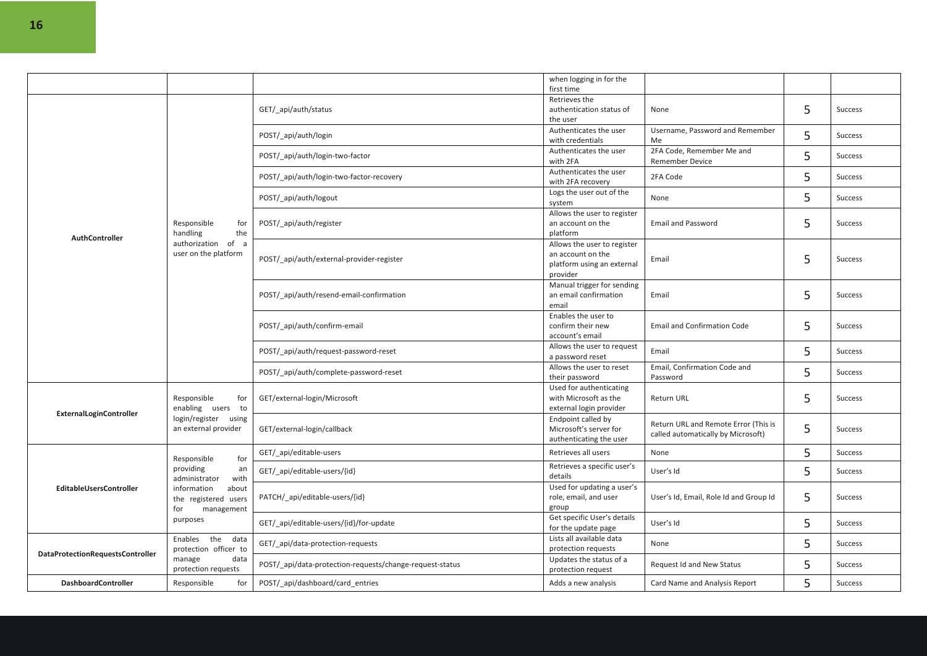|                                  |                                                                                            |                                                          | when logging in for the<br>first time                                                      |                                                                            |   |                |
|----------------------------------|--------------------------------------------------------------------------------------------|----------------------------------------------------------|--------------------------------------------------------------------------------------------|----------------------------------------------------------------------------|---|----------------|
|                                  |                                                                                            | GET/_api/auth/status                                     | Retrieves the<br>authentication status of<br>the user                                      | None                                                                       | 5 | Success        |
|                                  |                                                                                            | POST/ api/auth/login                                     | Authenticates the user<br>with credentials                                                 | Username, Password and Remember<br>Me                                      | 5 | <b>Success</b> |
|                                  |                                                                                            | POST/_api/auth/login-two-factor                          | Authenticates the user<br>with 2FA                                                         | 2FA Code, Remember Me and<br>Remember Device                               | 5 | <b>Success</b> |
|                                  |                                                                                            | POST/_api/auth/login-two-factor-recovery                 | Authenticates the user<br>with 2FA recovery                                                | 2FA Code                                                                   | 5 | Success        |
|                                  |                                                                                            | POST/_api/auth/logout                                    | Logs the user out of the<br>system                                                         | None                                                                       | 5 | Success        |
|                                  | Responsible<br>for<br>the<br>handling                                                      | POST/_api/auth/register                                  | Allows the user to register<br>an account on the<br>platform                               | <b>Email and Password</b>                                                  | 5 | Success        |
| AuthController                   | of a<br>authorization<br>user on the platform                                              | POST/_api/auth/external-provider-register                | Allows the user to register<br>an account on the<br>platform using an external<br>provider | Email                                                                      | 5 | <b>Success</b> |
|                                  |                                                                                            | POST/ api/auth/resend-email-confirmation                 | Manual trigger for sending<br>an email confirmation<br>email                               | Email                                                                      | 5 | Success        |
|                                  |                                                                                            | POST/_api/auth/confirm-email                             | Enables the user to<br>confirm their new<br>account's email                                | <b>Email and Confirmation Code</b>                                         | 5 | Success        |
|                                  |                                                                                            | POST/ api/auth/request-password-reset                    | Allows the user to request<br>a password reset                                             | Email                                                                      | 5 | <b>Success</b> |
|                                  |                                                                                            | POST/_api/auth/complete-password-reset                   | Allows the user to reset<br>their password                                                 | Email, Confirmation Code and<br>Password                                   | 5 | Success        |
|                                  | Responsible<br>for<br>enabling users to<br>login/register<br>using<br>an external provider | GET/external-login/Microsoft                             | Used for authenticating<br>with Microsoft as the<br>external login provider                | Return URL                                                                 | 5 | Success        |
| ExternalLoginController          |                                                                                            | GET/external-login/callback                              | Endpoint called by<br>Microsoft's server for<br>authenticating the user                    | Return URL and Remote Error (This is<br>called automatically by Microsoft) | 5 | Success        |
|                                  | for<br>Responsible                                                                         | GET/ api/editable-users                                  | Retrieves all users                                                                        | None                                                                       | 5 | <b>Success</b> |
|                                  | providing<br>an<br>with<br>administrator                                                   | GET/_api/editable-users/{id}                             | Retrieves a specific user's<br>details                                                     | User's Id                                                                  | 5 | Success        |
| EditableUsersController          | about<br>information<br>the registered users<br>for<br>management                          | PATCH/_api/editable-users/{id}                           | Used for updating a user's<br>role, email, and user<br>group                               | User's Id, Email, Role Id and Group Id                                     | 5 | Success        |
|                                  | purposes                                                                                   | GET/_api/editable-users/{id}/for-update                  | Get specific User's details<br>for the update page                                         | User's Id                                                                  | 5 | Success        |
|                                  | the<br>Enables<br>data<br>protection officer to                                            | GET/ api/data-protection-requests                        | Lists all available data<br>protection requests                                            | None                                                                       | 5 | <b>Success</b> |
| DataProtectionRequestsController | data<br>manage<br>protection requests                                                      | POST/_api/data-protection-requests/change-request-status | Updates the status of a<br>protection request                                              | Request Id and New Status                                                  | 5 | <b>Success</b> |
| <b>DashboardController</b>       | Responsible<br>for                                                                         | POST/ api/dashboard/card entries                         | Adds a new analysis                                                                        | Card Name and Analysis Report                                              | 5 | <b>Success</b> |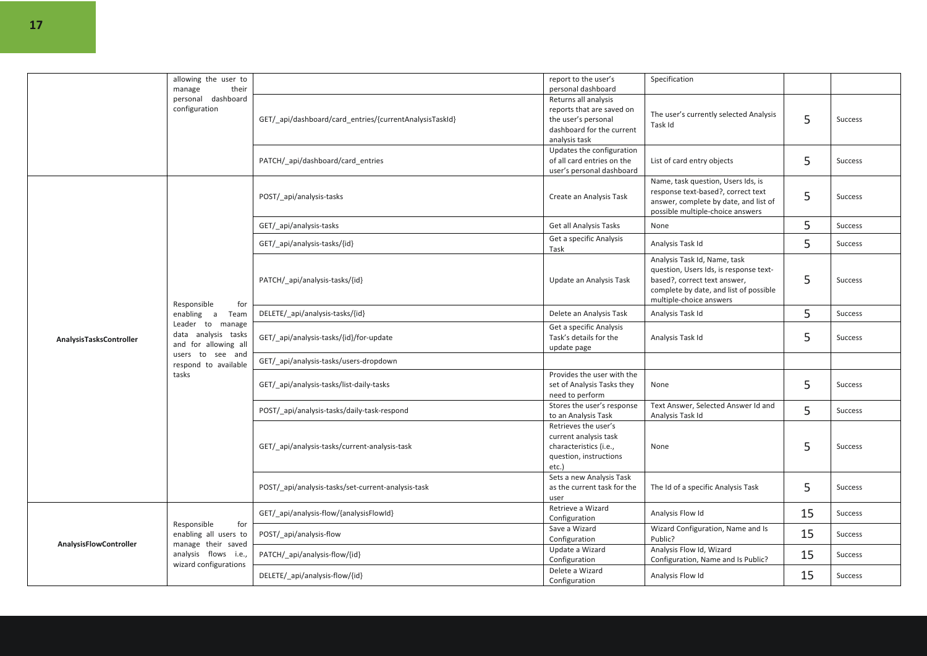|                         | allowing the user to                                                                                                                                             |                                                         | report to the user's                                                                                                   | Specification                                                                                                                                                               |    |                |
|-------------------------|------------------------------------------------------------------------------------------------------------------------------------------------------------------|---------------------------------------------------------|------------------------------------------------------------------------------------------------------------------------|-----------------------------------------------------------------------------------------------------------------------------------------------------------------------------|----|----------------|
|                         | their<br>manage                                                                                                                                                  |                                                         | personal dashboard                                                                                                     |                                                                                                                                                                             |    |                |
|                         | personal<br>dashboard<br>configuration                                                                                                                           | GET/_api/dashboard/card_entries/{currentAnalysisTaskId} | Returns all analysis<br>reports that are saved on<br>the user's personal<br>dashboard for the current<br>analysis task | The user's currently selected Analysis<br>Task Id                                                                                                                           | 5  | <b>Success</b> |
|                         |                                                                                                                                                                  | PATCH/_api/dashboard/card_entries                       | Updates the configuration<br>of all card entries on the<br>user's personal dashboard                                   | List of card entry objects                                                                                                                                                  | 5  | <b>Success</b> |
|                         |                                                                                                                                                                  | POST/ api/analysis-tasks                                | Create an Analysis Task                                                                                                | Name, task question, Users Ids, is<br>response text-based?, correct text<br>answer, complete by date, and list of<br>possible multiple-choice answers                       | 5  | <b>Success</b> |
|                         |                                                                                                                                                                  | GET/ api/analysis-tasks                                 | Get all Analysis Tasks                                                                                                 | None                                                                                                                                                                        | 5  | Success        |
|                         |                                                                                                                                                                  | GET/ api/analysis-tasks/{id}                            | Get a specific Analysis<br>Task                                                                                        | Analysis Task Id                                                                                                                                                            | 5  | Success        |
|                         | Responsible<br>for<br>enabling a<br>Team<br>Leader to manage<br>data analysis tasks<br>and for allowing all<br>users to see and<br>respond to available<br>tasks | PATCH/ api/analysis-tasks/{id}                          | Update an Analysis Task                                                                                                | Analysis Task Id, Name, task<br>question, Users Ids, is response text-<br>based?, correct text answer,<br>complete by date, and list of possible<br>multiple-choice answers | 5  | <b>Success</b> |
|                         |                                                                                                                                                                  | DELETE/_api/analysis-tasks/{id}                         | Delete an Analysis Task                                                                                                | Analysis Task Id                                                                                                                                                            | 5  | Success        |
| AnalysisTasksController |                                                                                                                                                                  | GET/_api/analysis-tasks/{id}/for-update                 | Get a specific Analysis<br>Task's details for the<br>update page                                                       | Analysis Task Id                                                                                                                                                            | 5  | Success        |
|                         |                                                                                                                                                                  | GET/ api/analysis-tasks/users-dropdown                  |                                                                                                                        |                                                                                                                                                                             |    |                |
|                         |                                                                                                                                                                  | GET/_api/analysis-tasks/list-daily-tasks                | Provides the user with the<br>set of Analysis Tasks they<br>need to perform                                            | None                                                                                                                                                                        | 5  | <b>Success</b> |
|                         |                                                                                                                                                                  | POST/ api/analysis-tasks/daily-task-respond             | Stores the user's response<br>to an Analysis Task                                                                      | Text Answer, Selected Answer Id and<br>Analysis Task Id                                                                                                                     | 5  | Success        |
|                         |                                                                                                                                                                  | GET/ api/analysis-tasks/current-analysis-task           | Retrieves the user's<br>current analysis task<br>characteristics (i.e.,<br>question, instructions<br>etc.)             | None                                                                                                                                                                        | 5  | <b>Success</b> |
|                         |                                                                                                                                                                  | POST/ api/analysis-tasks/set-current-analysis-task      | Sets a new Analysis Task<br>as the current task for the<br>user                                                        | The Id of a specific Analysis Task                                                                                                                                          | 5  | <b>Success</b> |
|                         |                                                                                                                                                                  | GET/_api/analysis-flow/{analysisFlowId}                 | Retrieve a Wizard<br>Configuration                                                                                     | Analysis Flow Id                                                                                                                                                            | 15 | Success        |
| AnalysisFlowController  | Responsible<br>for<br>enabling all users to<br>manage their saved                                                                                                | POST/ api/analysis-flow                                 | Save a Wizard<br>Configuration                                                                                         | Wizard Configuration, Name and Is<br>Public?                                                                                                                                | 15 | Success        |
|                         | analysis flows i.e.,<br>wizard configurations                                                                                                                    | PATCH/ api/analysis-flow/{id}                           | Update a Wizard<br>Configuration                                                                                       | Analysis Flow Id, Wizard<br>Configuration, Name and Is Public?                                                                                                              | 15 | Success        |
|                         |                                                                                                                                                                  | DELETE/ api/analysis-flow/{id}                          | Delete a Wizard<br>Configuration                                                                                       | Analysis Flow Id                                                                                                                                                            | 15 | Success        |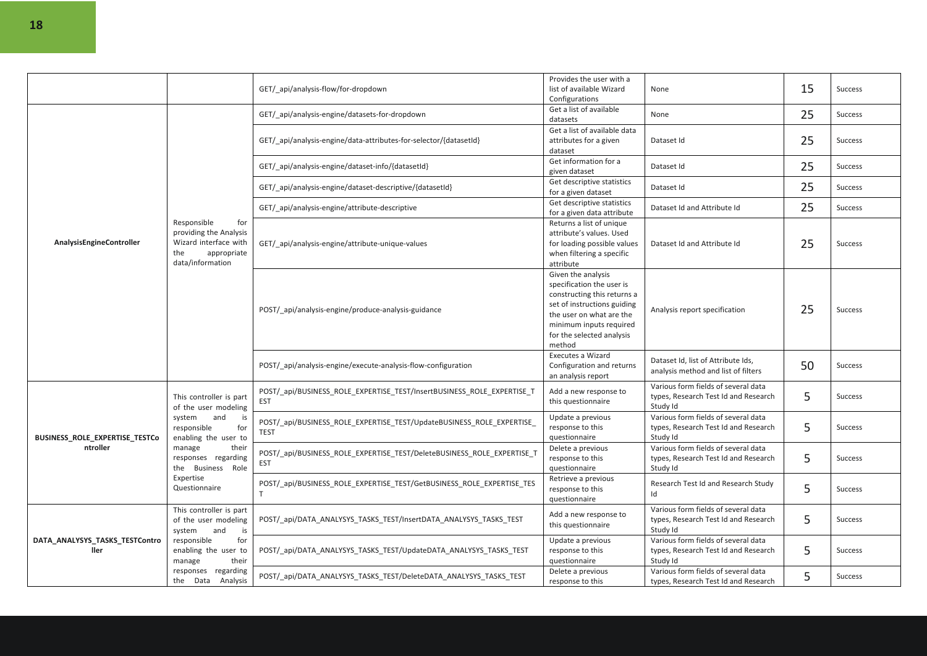|                                        |                                                                                                                      | GET/ api/analysis-flow/for-dropdown                                                  | Provides the user with a<br>list of available Wizard<br>Configurations                                                                                                                                      | None                                                                                    | 15 | <b>Success</b> |
|----------------------------------------|----------------------------------------------------------------------------------------------------------------------|--------------------------------------------------------------------------------------|-------------------------------------------------------------------------------------------------------------------------------------------------------------------------------------------------------------|-----------------------------------------------------------------------------------------|----|----------------|
|                                        |                                                                                                                      | GET/ api/analysis-engine/datasets-for-dropdown                                       | Get a list of available<br>datasets                                                                                                                                                                         | None                                                                                    | 25 | <b>Success</b> |
|                                        |                                                                                                                      | GET/ api/analysis-engine/data-attributes-for-selector/{datasetId}                    | Get a list of available data<br>attributes for a given<br>dataset                                                                                                                                           | Dataset Id                                                                              | 25 | <b>Success</b> |
|                                        |                                                                                                                      | GET/ api/analysis-engine/dataset-info/{datasetId}                                    | Get information for a<br>given dataset                                                                                                                                                                      | Dataset Id                                                                              | 25 | <b>Success</b> |
|                                        |                                                                                                                      | GET/_api/analysis-engine/dataset-descriptive/{datasetId}                             | Get descriptive statistics<br>for a given dataset                                                                                                                                                           | Dataset Id                                                                              | 25 | <b>Success</b> |
|                                        |                                                                                                                      | GET/ api/analysis-engine/attribute-descriptive                                       | Get descriptive statistics<br>for a given data attribute                                                                                                                                                    | Dataset Id and Attribute Id                                                             | 25 | <b>Success</b> |
| AnalysisEngineController               | Responsible<br>for<br>providing the Analysis<br>Wizard interface with<br>the<br>appropriate<br>data/information      | GET/ api/analysis-engine/attribute-unique-values                                     | Returns a list of unique<br>attribute's values. Used<br>for loading possible values<br>when filtering a specific<br>attribute                                                                               | Dataset Id and Attribute Id                                                             | 25 | <b>Success</b> |
|                                        |                                                                                                                      | POST/ api/analysis-engine/produce-analysis-guidance                                  | Given the analysis<br>specification the user is<br>constructing this returns a<br>set of instructions guiding<br>the user on what are the<br>minimum inputs required<br>for the selected analysis<br>method | Analysis report specification                                                           | 25 | <b>Success</b> |
|                                        |                                                                                                                      | POST/ api/analysis-engine/execute-analysis-flow-configuration                        | Executes a Wizard<br>Configuration and returns<br>an analysis report                                                                                                                                        | Dataset Id, list of Attribute Ids,<br>analysis method and list of filters               | 50 | <b>Success</b> |
|                                        | This controller is part<br>of the user modeling<br>system<br>and<br>is<br>responsible<br>for<br>enabling the user to | POST/_api/BUSINESS_ROLE_EXPERTISE_TEST/InsertBUSINESS_ROLE_EXPERTISE_T<br><b>EST</b> | Add a new response to<br>this questionnaire                                                                                                                                                                 | Various form fields of several data<br>types, Research Test Id and Research<br>Study Id | 5  | <b>Success</b> |
| BUSINESS_ROLE_EXPERTISE_TESTCo         |                                                                                                                      | POST/ api/BUSINESS ROLE EXPERTISE TEST/UpdateBUSINESS ROLE EXPERTISE<br><b>TEST</b>  | Update a previous<br>response to this<br>questionnaire                                                                                                                                                      | Various form fields of several data<br>types, Research Test Id and Research<br>Study Id | 5  | <b>Success</b> |
| ntroller                               | their<br>manage<br>responses regarding<br>the Business Role                                                          | POST/_api/BUSINESS_ROLE_EXPERTISE_TEST/DeleteBUSINESS_ROLE_EXPERTISE_T<br><b>EST</b> | Delete a previous<br>response to this<br>questionnaire                                                                                                                                                      | Various form fields of several data<br>types, Research Test Id and Research<br>Study Id | 5  | <b>Success</b> |
|                                        | Expertise<br>Questionnaire                                                                                           | POST/ api/BUSINESS ROLE EXPERTISE TEST/GetBUSINESS ROLE EXPERTISE TES                | Retrieve a previous<br>response to this<br>questionnaire                                                                                                                                                    | Research Test Id and Research Study<br>Id                                               | 5  | <b>Success</b> |
| DATA_ANALYSYS_TASKS_TESTContro<br>ller | This controller is part<br>of the user modeling<br>system<br>and<br>is                                               | POST/ api/DATA ANALYSYS TASKS TEST/InsertDATA ANALYSYS TASKS TEST                    | Add a new response to<br>this questionnaire                                                                                                                                                                 | Various form fields of several data<br>types, Research Test Id and Research<br>Study Id | 5  | Success        |
|                                        | responsible<br>for<br>enabling the user to<br>manage<br>their                                                        | POST/_api/DATA_ANALYSYS_TASKS_TEST/UpdateDATA_ANALYSYS_TASKS_TEST                    | Update a previous<br>response to this<br>questionnaire                                                                                                                                                      | Various form fields of several data<br>types, Research Test Id and Research<br>Study Id | 5  | Success        |
|                                        | responses regarding<br>the Data<br>Analysis                                                                          | POST/ api/DATA ANALYSYS TASKS TEST/DeleteDATA ANALYSYS TASKS TEST                    | Delete a previous<br>response to this                                                                                                                                                                       | Various form fields of several data<br>types, Research Test Id and Research             | 5  | <b>Success</b> |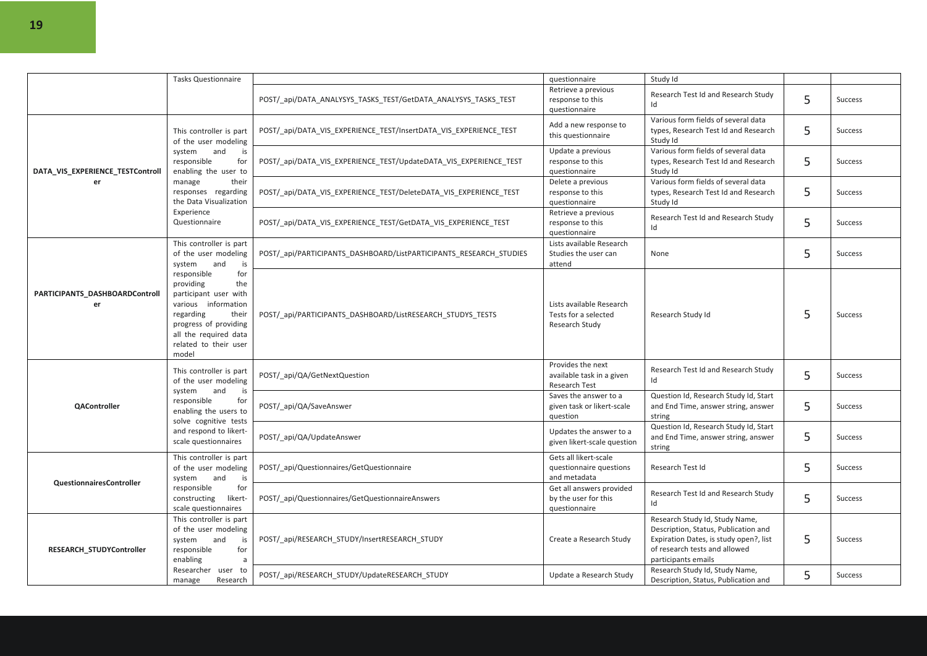|                                      | <b>Tasks Questionnaire</b>                                                                                                                                                                       | POST/_api/DATA_ANALYSYS_TASKS_TEST/GetDATA_ANALYSYS_TASKS_TEST     | questionnaire<br>Retrieve a previous<br>response to this<br>questionnaire | Study Id<br>Research Test Id and Research Study<br>Id                                                                                                                    | 5 | <b>Success</b> |
|--------------------------------------|--------------------------------------------------------------------------------------------------------------------------------------------------------------------------------------------------|--------------------------------------------------------------------|---------------------------------------------------------------------------|--------------------------------------------------------------------------------------------------------------------------------------------------------------------------|---|----------------|
|                                      | This controller is part<br>of the user modeling                                                                                                                                                  | POST/_api/DATA_VIS_EXPERIENCE_TEST/InsertDATA_VIS_EXPERIENCE_TEST  | Add a new response to<br>this questionnaire                               | Various form fields of several data<br>types, Research Test Id and Research<br>Study Id                                                                                  | 5 | <b>Success</b> |
| DATA_VIS_EXPERIENCE_TESTControll     | system<br>and<br>is<br>for<br>responsible<br>enabling the user to                                                                                                                                | POST/_api/DATA_VIS_EXPERIENCE_TEST/UpdateDATA_VIS_EXPERIENCE_TEST  | Update a previous<br>response to this<br>questionnaire                    | Various form fields of several data<br>types, Research Test Id and Research<br>Study Id                                                                                  | 5 | <b>Success</b> |
| er                                   | manage<br>their<br>responses regarding<br>the Data Visualization                                                                                                                                 | POST/_api/DATA_VIS_EXPERIENCE_TEST/DeleteDATA_VIS_EXPERIENCE_TEST  | Delete a previous<br>response to this<br>questionnaire                    | Various form fields of several data<br>types, Research Test Id and Research<br>Study Id                                                                                  | 5 | <b>Success</b> |
|                                      | Experience<br>Questionnaire                                                                                                                                                                      | POST/ api/DATA VIS EXPERIENCE TEST/GetDATA VIS EXPERIENCE TEST     | Retrieve a previous<br>response to this<br>questionnaire                  | Research Test Id and Research Study<br>Id                                                                                                                                | 5 | <b>Success</b> |
|                                      | This controller is part<br>of the user modeling<br>system<br>and<br>is                                                                                                                           | POST/ api/PARTICIPANTS DASHBOARD/ListPARTICIPANTS RESEARCH STUDIES | Lists available Research<br>Studies the user can<br>attend                | None                                                                                                                                                                     | 5 | <b>Success</b> |
| PARTICIPANTS_DASHBOARDControll<br>er | responsible<br>for<br>providing<br>the<br>participant user with<br>various information<br>regarding<br>their<br>progress of providing<br>all the required data<br>related to their user<br>model | POST/ api/PARTICIPANTS DASHBOARD/ListRESEARCH STUDYS TESTS         | Lists available Research<br>Tests for a selected<br>Research Study        | Research Study Id                                                                                                                                                        | 5 | <b>Success</b> |
|                                      | This controller is part<br>of the user modeling<br>system<br>and<br>is<br>responsible<br>for<br>enabling the users to<br>solve cognitive tests<br>and respond to likert-<br>scale questionnaires | POST/ api/QA/GetNextQuestion                                       | Provides the next<br>available task in a given<br>Research Test           | Research Test Id and Research Study<br>Id                                                                                                                                | 5 | <b>Success</b> |
| QAController                         |                                                                                                                                                                                                  | POST/_api/QA/SaveAnswer                                            | Saves the answer to a<br>given task or likert-scale<br>question           | Question Id, Research Study Id, Start<br>and End Time, answer string, answer<br>string                                                                                   | 5 | <b>Success</b> |
|                                      |                                                                                                                                                                                                  | POST/_api/QA/UpdateAnswer                                          | Updates the answer to a<br>given likert-scale question                    | Question Id, Research Study Id, Start<br>and End Time, answer string, answer<br>string                                                                                   | 5 | Success        |
| <b>QuestionnairesController</b>      | This controller is part<br>of the user modeling<br>system<br>and<br>is                                                                                                                           | POST/ api/Questionnaires/GetQuestionnaire                          | Gets all likert-scale<br>questionnaire questions<br>and metadata          | Research Test Id                                                                                                                                                         | 5 | Success        |
|                                      | for<br>responsible<br>constructing<br>likert-<br>scale questionnaires                                                                                                                            | POST/_api/Questionnaires/GetQuestionnaireAnswers                   | Get all answers provided<br>by the user for this<br>questionnaire         | Research Test Id and Research Study<br>Id                                                                                                                                | 5 | Success        |
| RESEARCH_STUDYController             | This controller is part<br>of the user modeling<br>and<br>system<br>is<br>for<br>responsible<br>enabling<br>a                                                                                    | POST/_api/RESEARCH_STUDY/InsertRESEARCH_STUDY                      | Create a Research Study                                                   | Research Study Id, Study Name,<br>Description, Status, Publication and<br>Expiration Dates, is study open?, list<br>of research tests and allowed<br>participants emails | 5 | <b>Success</b> |
|                                      | Researcher user to<br>Research<br>manage                                                                                                                                                         | POST/ api/RESEARCH STUDY/UpdateRESEARCH STUDY                      | Update a Research Study                                                   | Research Study Id, Study Name,<br>Description, Status, Publication and                                                                                                   | 5 | <b>Success</b> |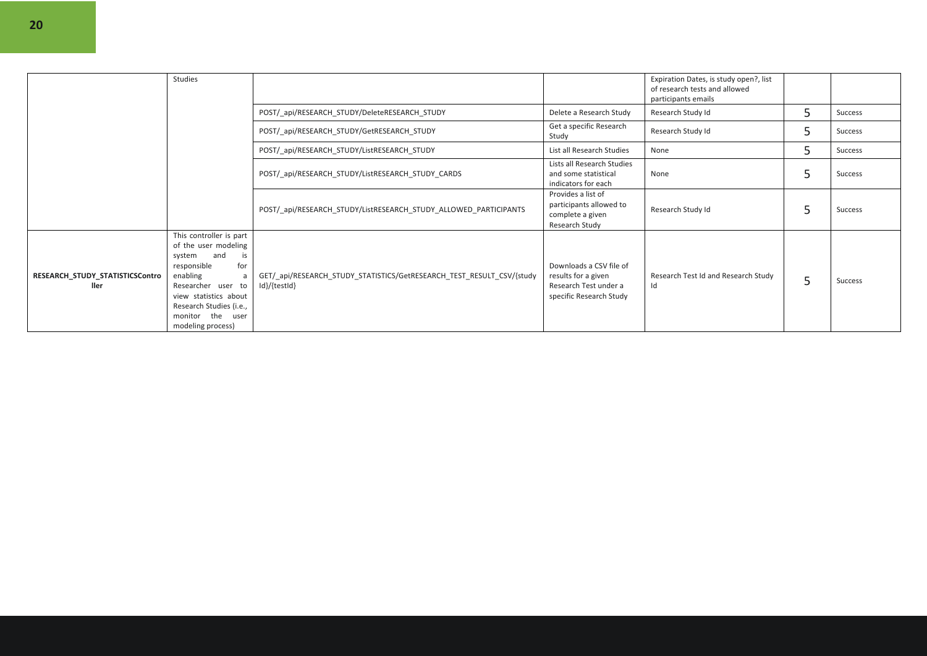|                                         | Studies                                                                                                                                                                                                                       |                                                                                       |                                                                                                    | Expiration Dates, is study open?, list<br>of research tests and allowed<br>participants emails |   |         |
|-----------------------------------------|-------------------------------------------------------------------------------------------------------------------------------------------------------------------------------------------------------------------------------|---------------------------------------------------------------------------------------|----------------------------------------------------------------------------------------------------|------------------------------------------------------------------------------------------------|---|---------|
|                                         |                                                                                                                                                                                                                               | POST/ api/RESEARCH STUDY/DeleteRESEARCH STUDY                                         | Delete a Research Study                                                                            | Research Study Id                                                                              | 5 | Success |
|                                         |                                                                                                                                                                                                                               | POST/_api/RESEARCH_STUDY/GetRESEARCH_STUDY                                            | Get a specific Research<br>Study                                                                   | Research Study Id                                                                              | 5 | Success |
|                                         |                                                                                                                                                                                                                               | POST/ api/RESEARCH STUDY/ListRESEARCH STUDY                                           | List all Research Studies                                                                          | None                                                                                           | 5 | Success |
|                                         |                                                                                                                                                                                                                               | POST/_api/RESEARCH_STUDY/ListRESEARCH_STUDY_CARDS                                     | Lists all Research Studies<br>and some statistical<br>indicators for each                          | None                                                                                           | 5 | Success |
|                                         |                                                                                                                                                                                                                               | POST/ api/RESEARCH STUDY/ListRESEARCH STUDY ALLOWED PARTICIPANTS                      | Provides a list of<br>participants allowed to<br>complete a given<br>Research Study                | Research Study Id                                                                              | 5 | Success |
| RESEARCH_STUDY_STATISTICSContro<br>ller | This controller is part<br>of the user modeling<br>system and<br>is<br>responsible<br>for<br>enabling<br>a<br>Researcher user to<br>view statistics about<br>Research Studies (i.e.,<br>monitor the user<br>modeling process) | GET/ api/RESEARCH STUDY STATISTICS/GetRESEARCH TEST RESULT CSV/{study<br>Id}/{testId} | Downloads a CSV file of<br>results for a given<br>Research Test under a<br>specific Research Study | Research Test Id and Research Study<br>Id                                                      | 5 | Success |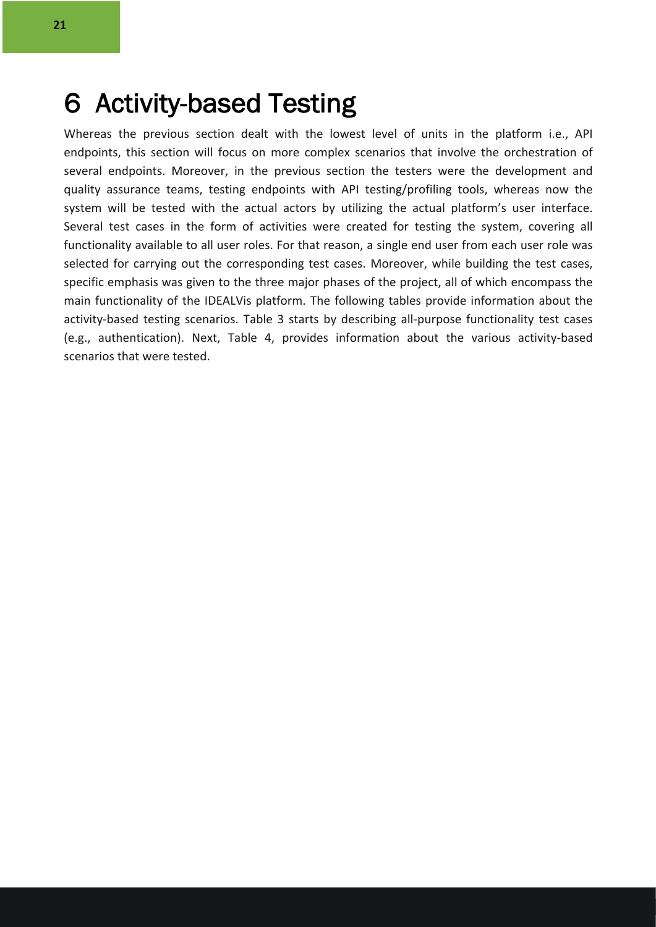### 6 Activity-based Testing

Whereas the previous section dealt with the lowest level of units in the platform i.e., API endpoints, this section will focus on more complex scenarios that involve the orchestration of several endpoints. Moreover, in the previous section the testers were the development and quality assurance teams, testing endpoints with API testing/profiling tools, whereas now the system will be tested with the actual actors by utilizing the actual platform's user interface. Several test cases in the form of activities were created for testing the system, covering all functionality available to all user roles. For that reason, a single end user from each user role was selected for carrying out the corresponding test cases. Moreover, while building the test cases, specific emphasis was given to the three major phases of the project, all of which encompass the main functionality of the IDEALVis platform. The following tables provide information about the activity-based testing scenarios. Table 3 starts by describing all-purpose functionality test cases (e.g., authentication). Next, Table 4, provides information about the various activity-based scenarios that were tested.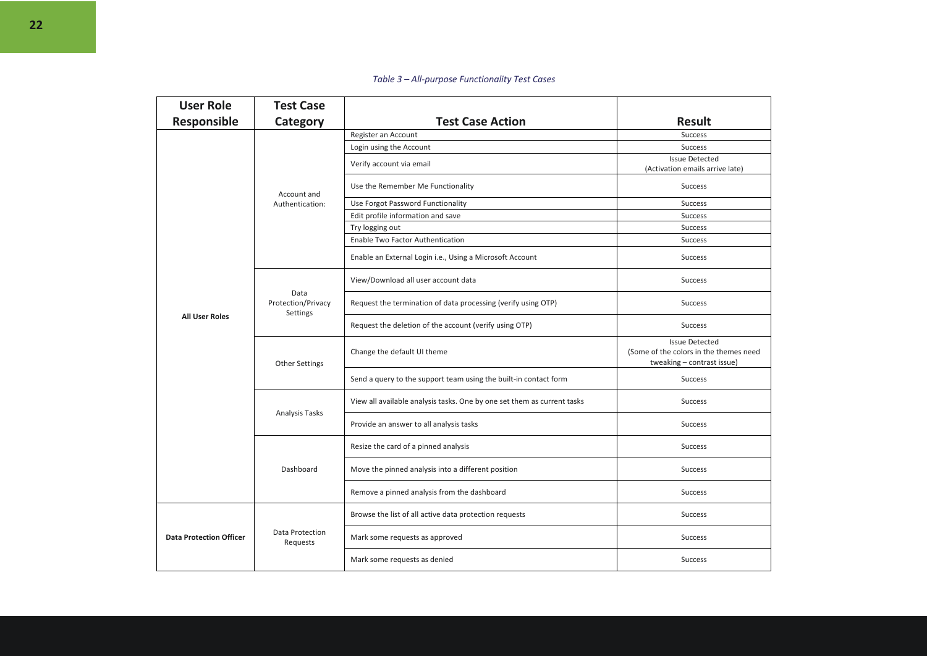#### *Table 3 – All-purpose Functionality Test Cases*

| <b>User Role</b><br><b>Test Case</b> |                                        |                                                                         |                                                                                               |
|--------------------------------------|----------------------------------------|-------------------------------------------------------------------------|-----------------------------------------------------------------------------------------------|
| Responsible                          | Category                               | <b>Test Case Action</b>                                                 | <b>Result</b>                                                                                 |
|                                      |                                        | Register an Account                                                     | Success                                                                                       |
|                                      |                                        | Login using the Account                                                 | <b>Success</b>                                                                                |
|                                      | Account and<br>Authentication:         | Verify account via email                                                | <b>Issue Detected</b><br>(Activation emails arrive late)                                      |
|                                      |                                        | Use the Remember Me Functionality                                       | <b>Success</b>                                                                                |
|                                      |                                        | Use Forgot Password Functionality                                       | <b>Success</b>                                                                                |
|                                      |                                        | Edit profile information and save                                       | Success                                                                                       |
|                                      |                                        | Try logging out                                                         | <b>Success</b>                                                                                |
|                                      |                                        | <b>Enable Two Factor Authentication</b>                                 | <b>Success</b>                                                                                |
|                                      |                                        | Enable an External Login i.e., Using a Microsoft Account                | <b>Success</b>                                                                                |
|                                      | Data<br>Protection/Privacy<br>Settings | View/Download all user account data                                     | Success                                                                                       |
| <b>All User Roles</b>                |                                        | Request the termination of data processing (verify using OTP)           | <b>Success</b>                                                                                |
|                                      |                                        | Request the deletion of the account (verify using OTP)                  | <b>Success</b>                                                                                |
|                                      | <b>Other Settings</b>                  | Change the default UI theme                                             | <b>Issue Detected</b><br>(Some of the colors in the themes need<br>tweaking - contrast issue) |
|                                      |                                        | Send a query to the support team using the built-in contact form        | Success                                                                                       |
|                                      | <b>Analysis Tasks</b>                  | View all available analysis tasks. One by one set them as current tasks | <b>Success</b>                                                                                |
|                                      |                                        | Provide an answer to all analysis tasks                                 | <b>Success</b>                                                                                |
|                                      | Dashboard                              | Resize the card of a pinned analysis                                    | <b>Success</b>                                                                                |
|                                      |                                        | Move the pinned analysis into a different position                      | <b>Success</b>                                                                                |
|                                      |                                        | Remove a pinned analysis from the dashboard                             | Success                                                                                       |
| <b>Data Protection Officer</b>       | Data Protection<br>Requests            | Browse the list of all active data protection requests                  | <b>Success</b>                                                                                |
|                                      |                                        | Mark some requests as approved                                          | Success                                                                                       |
|                                      |                                        | Mark some requests as denied                                            | <b>Success</b>                                                                                |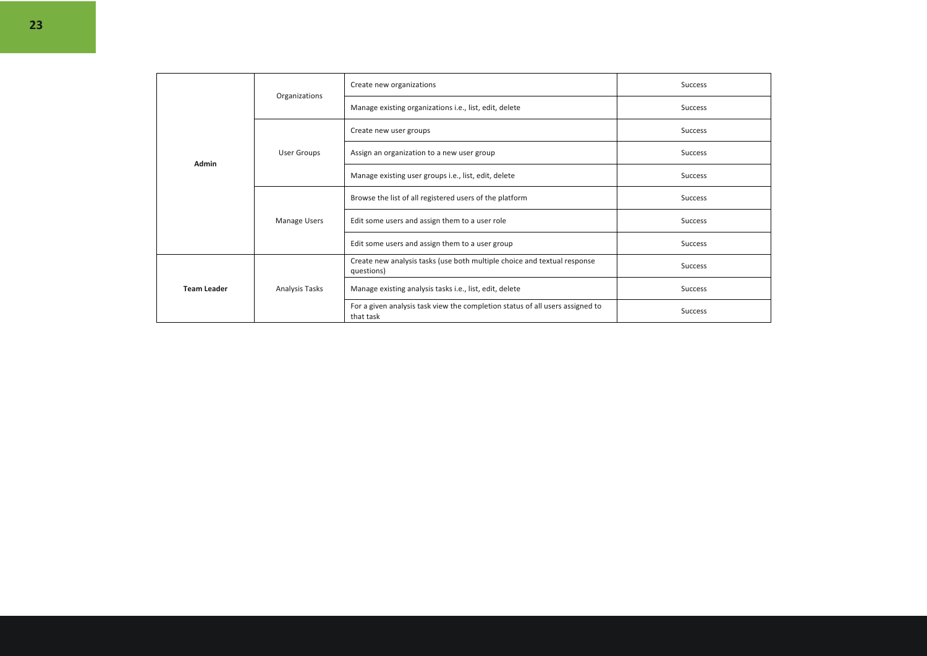| Admin              |                | Create new organizations                                                                   | <b>Success</b> |
|--------------------|----------------|--------------------------------------------------------------------------------------------|----------------|
|                    | Organizations  | Manage existing organizations i.e., list, edit, delete                                     | <b>Success</b> |
|                    | User Groups    | Create new user groups                                                                     | <b>Success</b> |
|                    |                | Assign an organization to a new user group                                                 | <b>Success</b> |
|                    |                | Manage existing user groups i.e., list, edit, delete                                       | <b>Success</b> |
|                    | Manage Users   | Browse the list of all registered users of the platform                                    | <b>Success</b> |
|                    |                | Edit some users and assign them to a user role                                             | <b>Success</b> |
|                    |                | Edit some users and assign them to a user group                                            | <b>Success</b> |
| <b>Team Leader</b> | Analysis Tasks | Create new analysis tasks (use both multiple choice and textual response<br>questions)     | <b>Success</b> |
|                    |                | Manage existing analysis tasks i.e., list, edit, delete                                    | <b>Success</b> |
|                    |                | For a given analysis task view the completion status of all users assigned to<br>that task | <b>Success</b> |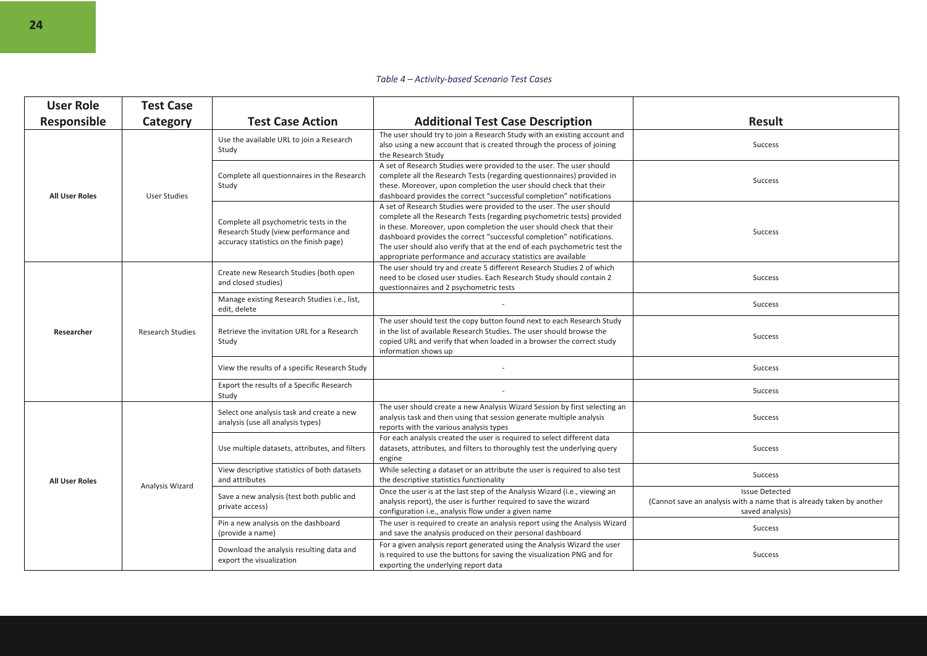#### *Table 4 – Activity-based Scenario Test Cases*

| <b>User Role</b>      | <b>Test Case</b>        |                                                                                                                           |                                                                                                                                                                                                                                                                                                                                                                                                                                                |                                                                                                                   |
|-----------------------|-------------------------|---------------------------------------------------------------------------------------------------------------------------|------------------------------------------------------------------------------------------------------------------------------------------------------------------------------------------------------------------------------------------------------------------------------------------------------------------------------------------------------------------------------------------------------------------------------------------------|-------------------------------------------------------------------------------------------------------------------|
| <b>Responsible</b>    | Category                | <b>Test Case Action</b>                                                                                                   | <b>Additional Test Case Description</b>                                                                                                                                                                                                                                                                                                                                                                                                        | <b>Result</b>                                                                                                     |
| <b>All User Roles</b> | User Studies            | Use the available URL to join a Research<br>Study                                                                         | The user should try to join a Research Study with an existing account and<br>also using a new account that is created through the process of joining<br>the Research Study                                                                                                                                                                                                                                                                     | Success                                                                                                           |
|                       |                         | Complete all questionnaires in the Research<br>Study                                                                      | A set of Research Studies were provided to the user. The user should<br>complete all the Research Tests (regarding questionnaires) provided in<br>these. Moreover, upon completion the user should check that their<br>dashboard provides the correct "successful completion" notifications                                                                                                                                                    | Success                                                                                                           |
|                       |                         | Complete all psychometric tests in the<br>Research Study (view performance and<br>accuracy statistics on the finish page) | A set of Research Studies were provided to the user. The user should<br>complete all the Research Tests (regarding psychometric tests) provided<br>in these. Moreover, upon completion the user should check that their<br>dashboard provides the correct "successful completion" notifications.<br>The user should also verify that at the end of each psychometric test the<br>appropriate performance and accuracy statistics are available | Success                                                                                                           |
| Researcher            | <b>Research Studies</b> | Create new Research Studies (both open<br>and closed studies)                                                             | The user should try and create 5 different Research Studies 2 of which<br>need to be closed user studies. Each Research Study should contain 2<br>questionnaires and 2 psychometric tests                                                                                                                                                                                                                                                      | <b>Success</b>                                                                                                    |
|                       |                         | Manage existing Research Studies i.e., list,<br>edit, delete                                                              |                                                                                                                                                                                                                                                                                                                                                                                                                                                | <b>Success</b>                                                                                                    |
|                       |                         | Retrieve the invitation URL for a Research<br>Study                                                                       | The user should test the copy button found next to each Research Study<br>in the list of available Research Studies. The user should browse the<br>copied URL and verify that when loaded in a browser the correct study<br>information shows up                                                                                                                                                                                               | Success                                                                                                           |
|                       |                         | View the results of a specific Research Study                                                                             |                                                                                                                                                                                                                                                                                                                                                                                                                                                | Success                                                                                                           |
|                       |                         | Export the results of a Specific Research<br>Study                                                                        |                                                                                                                                                                                                                                                                                                                                                                                                                                                | Success                                                                                                           |
| <b>All User Roles</b> | Analysis Wizard         | Select one analysis task and create a new<br>analysis (use all analysis types)                                            | The user should create a new Analysis Wizard Session by first selecting an<br>analysis task and then using that session generate multiple analysis<br>reports with the various analysis types                                                                                                                                                                                                                                                  | <b>Success</b>                                                                                                    |
|                       |                         | Use multiple datasets, attributes, and filters                                                                            | For each analysis created the user is required to select different data<br>datasets, attributes, and filters to thoroughly test the underlying query<br>engine                                                                                                                                                                                                                                                                                 | <b>Success</b>                                                                                                    |
|                       |                         | View descriptive statistics of both datasets<br>and attributes                                                            | While selecting a dataset or an attribute the user is required to also test<br>the descriptive statistics functionality                                                                                                                                                                                                                                                                                                                        | Success                                                                                                           |
|                       |                         | Save a new analysis (test both public and<br>private access)                                                              | Once the user is at the last step of the Analysis Wizard (i.e., viewing an<br>analysis report), the user is further required to save the wizard<br>configuration i.e., analysis flow under a given name                                                                                                                                                                                                                                        | <b>Issue Detected</b><br>(Cannot save an analysis with a name that is already taken by another<br>saved analysis) |
|                       |                         | Pin a new analysis on the dashboard<br>(provide a name)                                                                   | The user is required to create an analysis report using the Analysis Wizard<br>and save the analysis produced on their personal dashboard                                                                                                                                                                                                                                                                                                      | <b>Success</b>                                                                                                    |
|                       |                         | Download the analysis resulting data and<br>export the visualization                                                      | For a given analysis report generated using the Analysis Wizard the user<br>is required to use the buttons for saving the visualization PNG and for<br>exporting the underlying report data                                                                                                                                                                                                                                                    | <b>Success</b>                                                                                                    |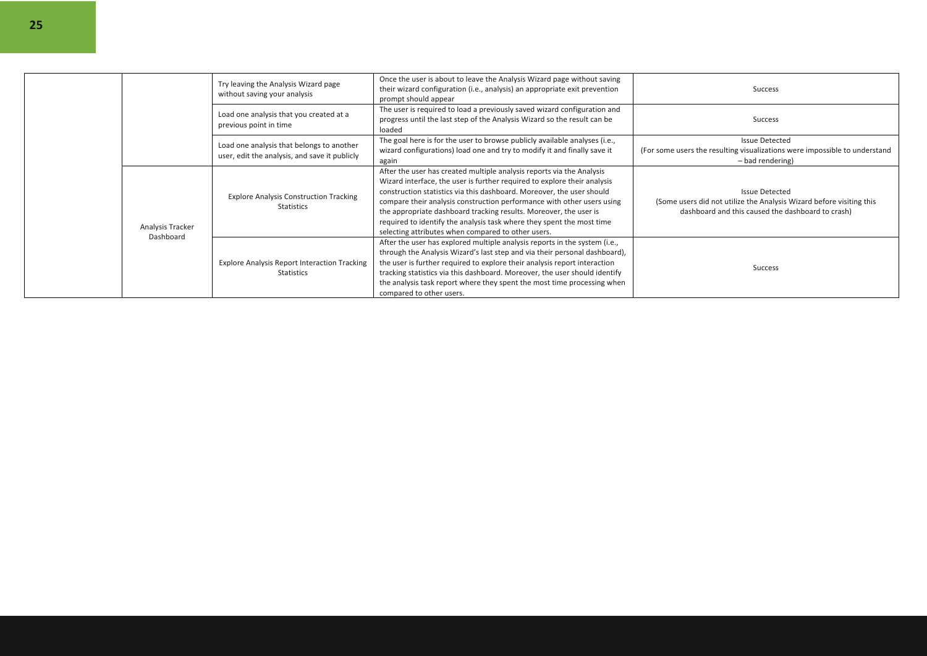|  |                               | Try leaving the Analysis Wizard page<br>without saving your analysis                       | Once the user is about to leave the Analysis Wizard page without saving<br>their wizard configuration (i.e., analysis) an appropriate exit prevention<br>prompt should appear                                                                                                                                                                                                                                                                                                                            | Success                                                                                                                                            |
|--|-------------------------------|--------------------------------------------------------------------------------------------|----------------------------------------------------------------------------------------------------------------------------------------------------------------------------------------------------------------------------------------------------------------------------------------------------------------------------------------------------------------------------------------------------------------------------------------------------------------------------------------------------------|----------------------------------------------------------------------------------------------------------------------------------------------------|
|  |                               | Load one analysis that you created at a<br>previous point in time                          | The user is required to load a previously saved wizard configuration and<br>progress until the last step of the Analysis Wizard so the result can be<br>loaded                                                                                                                                                                                                                                                                                                                                           | Success                                                                                                                                            |
|  |                               | Load one analysis that belongs to another<br>user, edit the analysis, and save it publicly | The goal here is for the user to browse publicly available analyses (i.e.,<br>wizard configurations) load one and try to modify it and finally save it<br>again                                                                                                                                                                                                                                                                                                                                          | <b>Issue Detected</b><br>(For some users the resulting visualizations were impossible to understand<br>- bad rendering)                            |
|  | Analysis Tracker<br>Dashboard | <b>Explore Analysis Construction Tracking</b><br><b>Statistics</b>                         | After the user has created multiple analysis reports via the Analysis<br>Wizard interface, the user is further required to explore their analysis<br>construction statistics via this dashboard. Moreover, the user should<br>compare their analysis construction performance with other users using<br>the appropriate dashboard tracking results. Moreover, the user is<br>required to identify the analysis task where they spent the most time<br>selecting attributes when compared to other users. | <b>Issue Detected</b><br>(Some users did not utilize the Analysis Wizard before visiting this<br>dashboard and this caused the dashboard to crash) |
|  |                               | <b>Explore Analysis Report Interaction Tracking</b><br><b>Statistics</b>                   | After the user has explored multiple analysis reports in the system (i.e.,<br>through the Analysis Wizard's last step and via their personal dashboard),<br>the user is further required to explore their analysis report interaction<br>tracking statistics via this dashboard. Moreover, the user should identify<br>the analysis task report where they spent the most time processing when<br>compared to other users.                                                                               | Success                                                                                                                                            |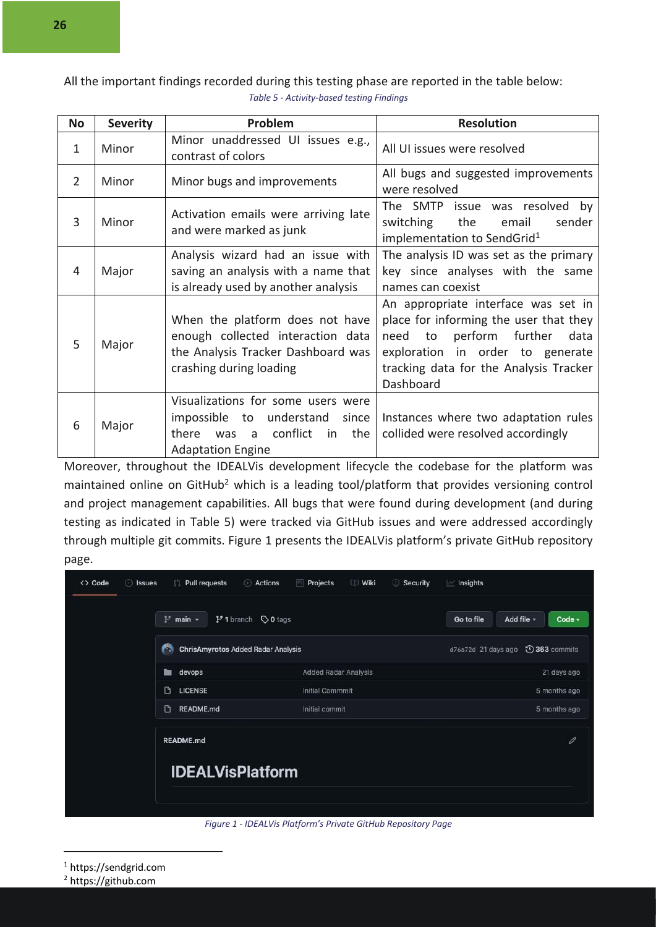All the important findings recorded during this testing phase are reported in the table below: *Table 5 - Activity-based testing Findings*

| <b>No</b>      | <b>Severity</b> | Problem                                                                                                                                        | <b>Resolution</b>                                                                                                                                                                                                 |
|----------------|-----------------|------------------------------------------------------------------------------------------------------------------------------------------------|-------------------------------------------------------------------------------------------------------------------------------------------------------------------------------------------------------------------|
| $\mathbf{1}$   | Minor           | Minor unaddressed UI issues e.g.,<br>contrast of colors                                                                                        | All UI issues were resolved                                                                                                                                                                                       |
| $\overline{2}$ | Minor           | Minor bugs and improvements                                                                                                                    | All bugs and suggested improvements<br>were resolved                                                                                                                                                              |
| 3              | Minor           | Activation emails were arriving late<br>and were marked as junk                                                                                | The SMTP issue was resolved by<br>switching<br>the<br>email<br>sender<br>implementation to SendGrid <sup>1</sup>                                                                                                  |
| 4              | Major           | Analysis wizard had an issue with<br>saving an analysis with a name that<br>is already used by another analysis                                | The analysis ID was set as the primary<br>key since analyses with the same<br>names can coexist                                                                                                                   |
| 5              | Major           | When the platform does not have<br>enough collected interaction data<br>the Analysis Tracker Dashboard was<br>crashing during loading          | An appropriate interface was set in<br>place for informing the user that they<br>perform further<br>data<br>to<br>need<br>exploration in order to generate<br>tracking data for the Analysis Tracker<br>Dashboard |
| 6              | Major           | Visualizations for some users were<br>impossible to understand<br>since<br>conflict<br>there<br>in<br>the<br>was a<br><b>Adaptation Engine</b> | Instances where two adaptation rules<br>collided were resolved accordingly                                                                                                                                        |

Moreover, throughout the IDEALVis development lifecycle the codebase for the platform was maintained online on GitHub<sup>2</sup> which is a leading tool/platform that provides versioning control and project management capabilities. All bugs that were found during development (and during testing as indicated in Table 5) were tracked via GitHub issues and were addressed accordingly through multiple git commits. Figure 1 presents the IDEALVis platform's private GitHub repository page.



*Figure 1 - IDEALVis Platform's Private GitHub Repository Page*

<sup>1</sup> https://sendgrid.com

<sup>2</sup> https://github.com